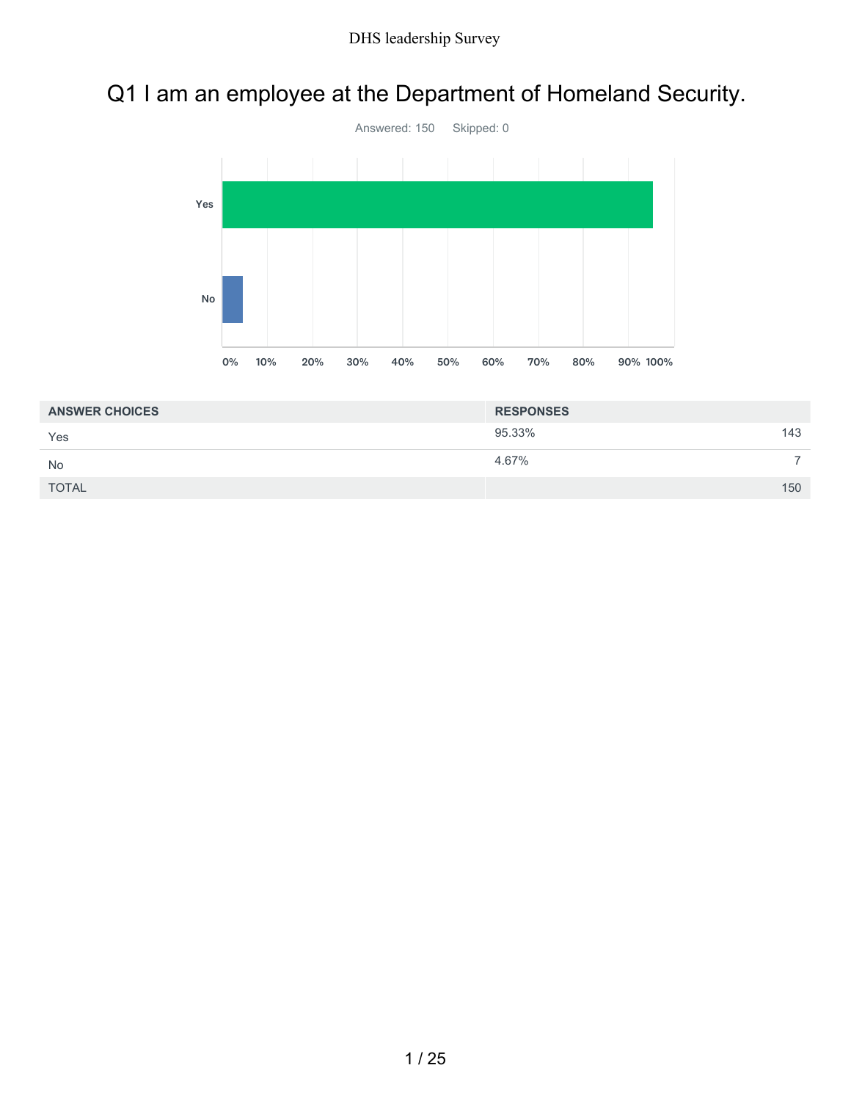## Q1 I am an employee at the Department of Homeland Security.



| <b>ANSWER CHOICES</b> | <b>RESPONSES</b> |     |
|-----------------------|------------------|-----|
| Yes                   | 95.33%           | 143 |
| <b>No</b>             | 4.67%            |     |
| <b>TOTAL</b>          |                  | 150 |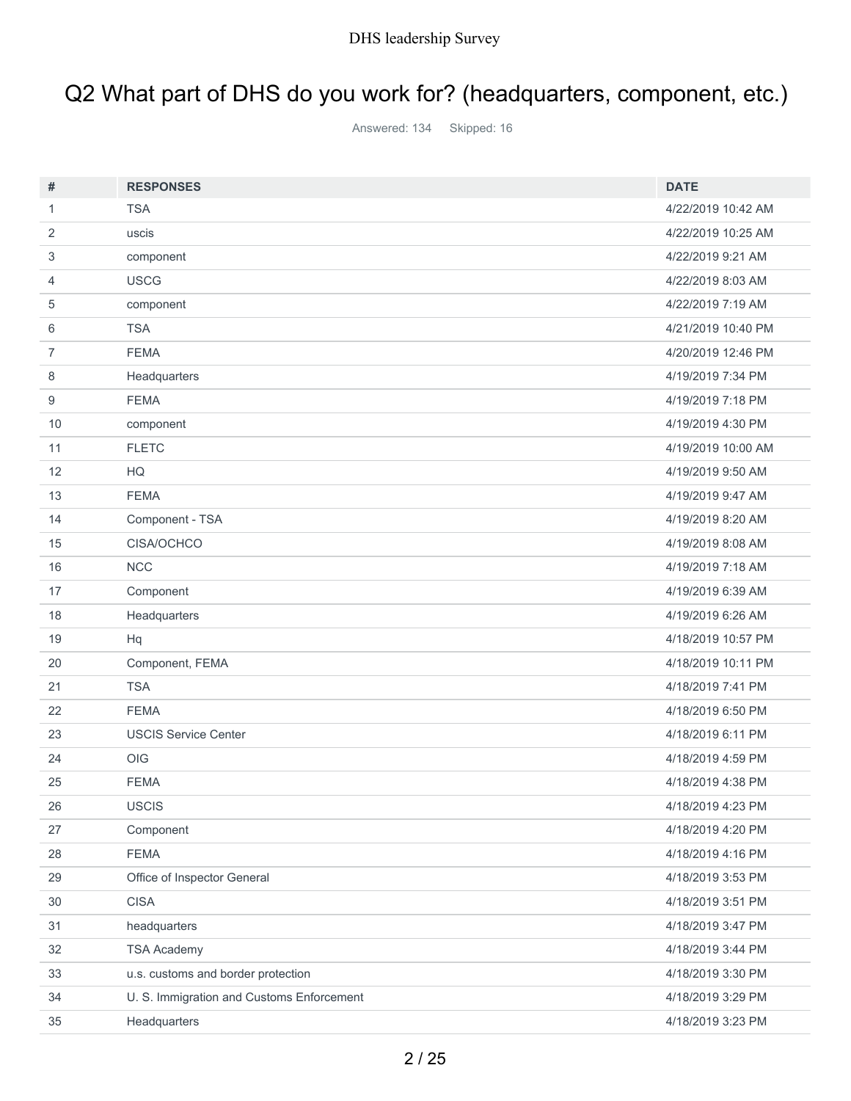# Q2 What part of DHS do you work for? (headquarters, component, etc.)

Answered: 134 Skipped: 16

| #              | <b>RESPONSES</b>                          | <b>DATE</b>        |
|----------------|-------------------------------------------|--------------------|
| $\mathbf{1}$   | <b>TSA</b>                                | 4/22/2019 10:42 AM |
| 2              | uscis                                     | 4/22/2019 10:25 AM |
| 3              | component                                 | 4/22/2019 9:21 AM  |
| 4              | <b>USCG</b>                               | 4/22/2019 8:03 AM  |
| 5              | component                                 | 4/22/2019 7:19 AM  |
| 6              | <b>TSA</b>                                | 4/21/2019 10:40 PM |
| $\overline{7}$ | <b>FEMA</b>                               | 4/20/2019 12:46 PM |
| 8              | Headquarters                              | 4/19/2019 7:34 PM  |
| 9              | <b>FEMA</b>                               | 4/19/2019 7:18 PM  |
| 10             | component                                 | 4/19/2019 4:30 PM  |
| 11             | <b>FLETC</b>                              | 4/19/2019 10:00 AM |
| 12             | HQ                                        | 4/19/2019 9:50 AM  |
| 13             | <b>FEMA</b>                               | 4/19/2019 9:47 AM  |
| 14             | Component - TSA                           | 4/19/2019 8:20 AM  |
| 15             | <b>CISA/OCHCO</b>                         | 4/19/2019 8:08 AM  |
| 16             | NCC                                       | 4/19/2019 7:18 AM  |
| 17             | Component                                 | 4/19/2019 6:39 AM  |
| 18             | Headquarters                              | 4/19/2019 6:26 AM  |
| 19             | Hq                                        | 4/18/2019 10:57 PM |
| 20             | Component, FEMA                           | 4/18/2019 10:11 PM |
| 21             | <b>TSA</b>                                | 4/18/2019 7:41 PM  |
| 22             | <b>FEMA</b>                               | 4/18/2019 6:50 PM  |
| 23             | <b>USCIS Service Center</b>               | 4/18/2019 6:11 PM  |
| 24             | OIG                                       | 4/18/2019 4:59 PM  |
| 25             | <b>FEMA</b>                               | 4/18/2019 4:38 PM  |
| 26             | <b>USCIS</b>                              | 4/18/2019 4:23 PM  |
| 27             | Component                                 | 4/18/2019 4:20 PM  |
| 28             | <b>FEMA</b>                               | 4/18/2019 4:16 PM  |
| 29             | Office of Inspector General               | 4/18/2019 3:53 PM  |
| 30             | <b>CISA</b>                               | 4/18/2019 3:51 PM  |
| 31             | headquarters                              | 4/18/2019 3:47 PM  |
| 32             | <b>TSA Academy</b>                        | 4/18/2019 3:44 PM  |
| 33             | u.s. customs and border protection        | 4/18/2019 3:30 PM  |
| 34             | U. S. Immigration and Customs Enforcement | 4/18/2019 3:29 PM  |
| 35             | Headquarters                              | 4/18/2019 3:23 PM  |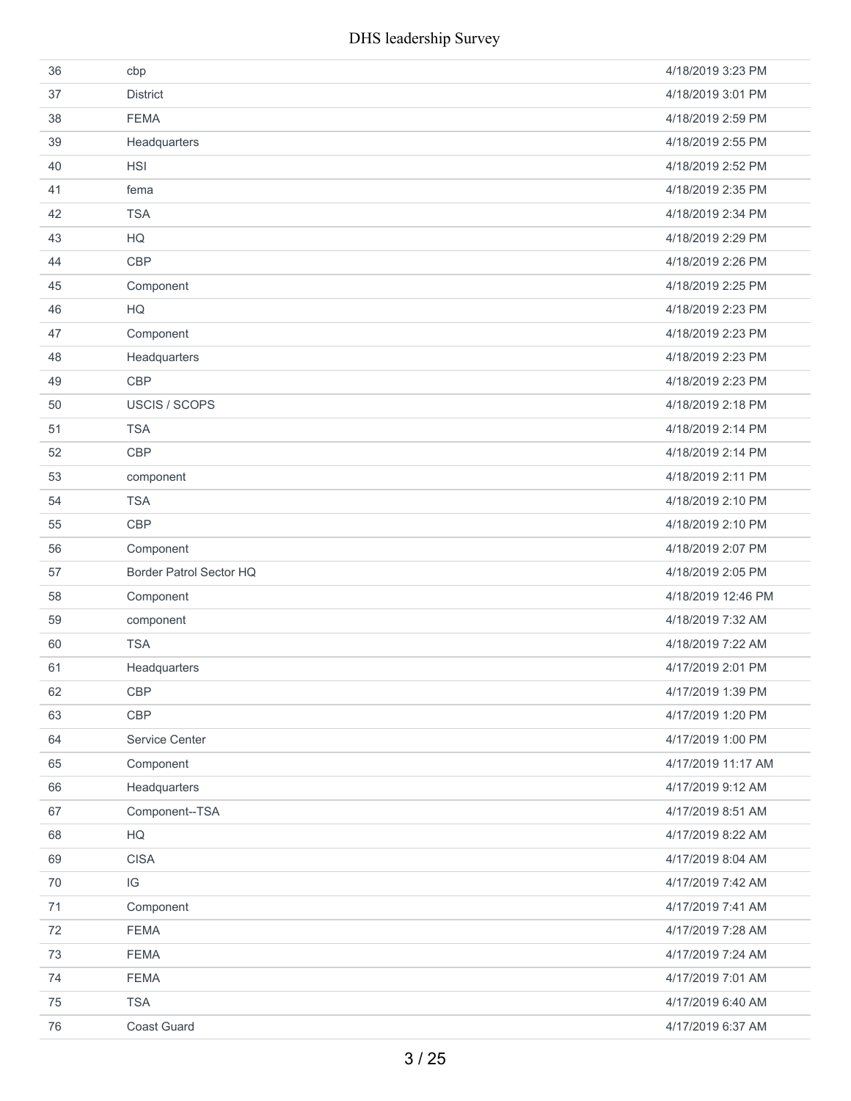| 36 | cbp                     | 4/18/2019 3:23 PM  |
|----|-------------------------|--------------------|
| 37 | <b>District</b>         | 4/18/2019 3:01 PM  |
| 38 | <b>FEMA</b>             | 4/18/2019 2:59 PM  |
| 39 | Headquarters            | 4/18/2019 2:55 PM  |
| 40 | <b>HSI</b>              | 4/18/2019 2:52 PM  |
| 41 | fema                    | 4/18/2019 2:35 PM  |
| 42 | <b>TSA</b>              | 4/18/2019 2:34 PM  |
| 43 | HQ                      | 4/18/2019 2:29 PM  |
| 44 | <b>CBP</b>              | 4/18/2019 2:26 PM  |
| 45 | Component               | 4/18/2019 2:25 PM  |
| 46 | HQ                      | 4/18/2019 2:23 PM  |
| 47 | Component               | 4/18/2019 2:23 PM  |
| 48 | Headquarters            | 4/18/2019 2:23 PM  |
| 49 | <b>CBP</b>              | 4/18/2019 2:23 PM  |
| 50 | USCIS / SCOPS           | 4/18/2019 2:18 PM  |
| 51 | <b>TSA</b>              | 4/18/2019 2:14 PM  |
| 52 | <b>CBP</b>              | 4/18/2019 2:14 PM  |
| 53 | component               | 4/18/2019 2:11 PM  |
| 54 | <b>TSA</b>              | 4/18/2019 2:10 PM  |
| 55 | <b>CBP</b>              | 4/18/2019 2:10 PM  |
| 56 | Component               | 4/18/2019 2:07 PM  |
| 57 | Border Patrol Sector HQ | 4/18/2019 2:05 PM  |
| 58 | Component               | 4/18/2019 12:46 PM |
| 59 | component               | 4/18/2019 7:32 AM  |
| 60 | <b>TSA</b>              | 4/18/2019 7:22 AM  |
| 61 | Headquarters            | 4/17/2019 2:01 PM  |
| 62 | <b>CBP</b>              | 4/17/2019 1:39 PM  |
| 63 | CBP                     | 4/17/2019 1:20 PM  |
| 64 | Service Center          | 4/17/2019 1:00 PM  |
| 65 | Component               | 4/17/2019 11:17 AM |
| 66 | Headquarters            | 4/17/2019 9:12 AM  |
| 67 | Component--TSA          | 4/17/2019 8:51 AM  |
| 68 | HQ                      | 4/17/2019 8:22 AM  |
| 69 | <b>CISA</b>             | 4/17/2019 8:04 AM  |
| 70 | $\mathsf{IG}$           | 4/17/2019 7:42 AM  |
| 71 | Component               | 4/17/2019 7:41 AM  |
| 72 | <b>FEMA</b>             | 4/17/2019 7:28 AM  |
| 73 | <b>FEMA</b>             | 4/17/2019 7:24 AM  |
| 74 | <b>FEMA</b>             | 4/17/2019 7:01 AM  |
| 75 | <b>TSA</b>              | 4/17/2019 6:40 AM  |
|    |                         |                    |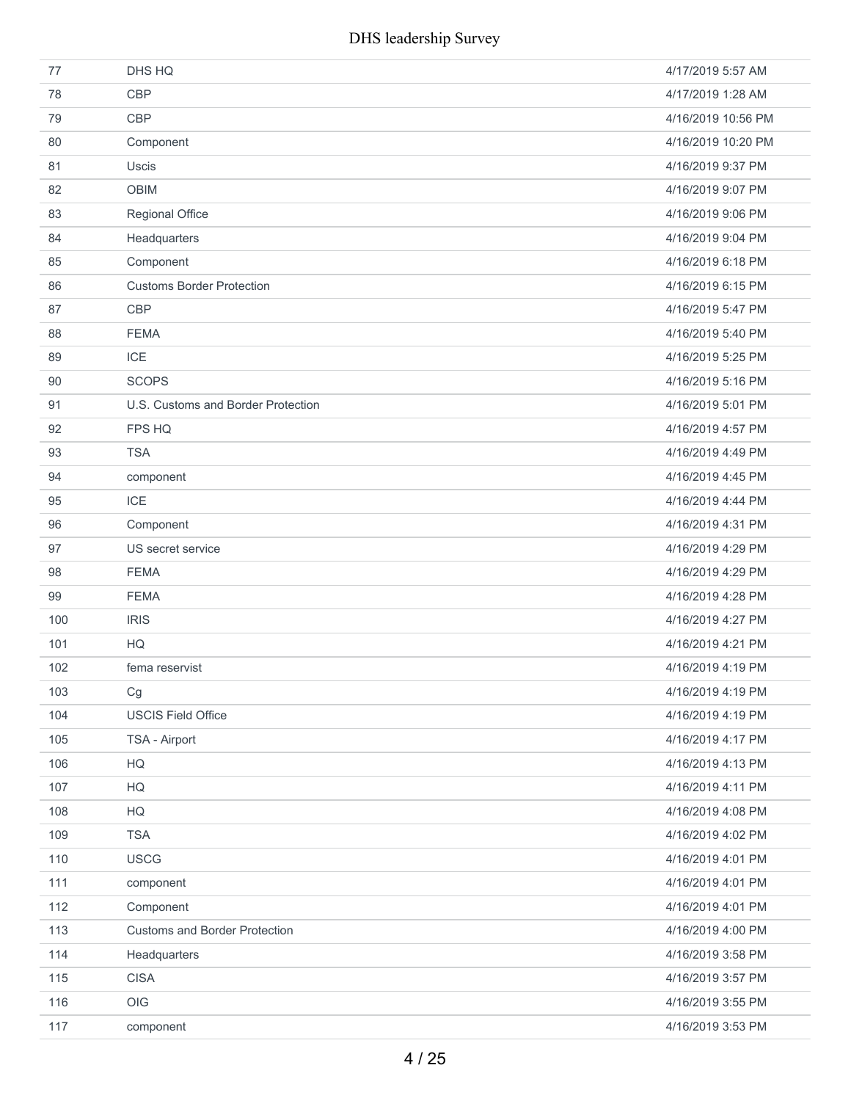| 77  | DHS HQ                               | 4/17/2019 5:57 AM  |
|-----|--------------------------------------|--------------------|
| 78  | <b>CBP</b>                           | 4/17/2019 1:28 AM  |
| 79  | <b>CBP</b>                           | 4/16/2019 10:56 PM |
| 80  | Component                            | 4/16/2019 10:20 PM |
| 81  | <b>Uscis</b>                         | 4/16/2019 9:37 PM  |
| 82  | <b>OBIM</b>                          | 4/16/2019 9:07 PM  |
| 83  | Regional Office                      | 4/16/2019 9:06 PM  |
| 84  | Headquarters                         | 4/16/2019 9:04 PM  |
| 85  | Component                            | 4/16/2019 6:18 PM  |
| 86  | <b>Customs Border Protection</b>     | 4/16/2019 6:15 PM  |
| 87  | <b>CBP</b>                           | 4/16/2019 5:47 PM  |
| 88  | <b>FEMA</b>                          | 4/16/2019 5:40 PM  |
| 89  | ICE                                  | 4/16/2019 5:25 PM  |
| 90  | <b>SCOPS</b>                         | 4/16/2019 5:16 PM  |
| 91  | U.S. Customs and Border Protection   | 4/16/2019 5:01 PM  |
| 92  | FPS HQ                               | 4/16/2019 4:57 PM  |
| 93  | <b>TSA</b>                           | 4/16/2019 4:49 PM  |
| 94  | component                            | 4/16/2019 4:45 PM  |
| 95  | <b>ICE</b>                           | 4/16/2019 4:44 PM  |
| 96  | Component                            | 4/16/2019 4:31 PM  |
| 97  | US secret service                    | 4/16/2019 4:29 PM  |
| 98  | <b>FEMA</b>                          | 4/16/2019 4:29 PM  |
| 99  | <b>FEMA</b>                          | 4/16/2019 4:28 PM  |
| 100 | <b>IRIS</b>                          | 4/16/2019 4:27 PM  |
| 101 | HQ                                   | 4/16/2019 4:21 PM  |
| 102 | fema reservist                       | 4/16/2019 4:19 PM  |
| 103 | Cg                                   | 4/16/2019 4:19 PM  |
| 104 | <b>USCIS Field Office</b>            | 4/16/2019 4:19 PM  |
| 105 | TSA - Airport                        | 4/16/2019 4:17 PM  |
| 106 | HG                                   | 4/16/2019 4:13 PM  |
| 107 | HQ                                   | 4/16/2019 4:11 PM  |
| 108 | HG                                   | 4/16/2019 4:08 PM  |
| 109 | <b>TSA</b>                           | 4/16/2019 4:02 PM  |
| 110 | <b>USCG</b>                          | 4/16/2019 4:01 PM  |
| 111 | component                            | 4/16/2019 4:01 PM  |
| 112 | Component                            | 4/16/2019 4:01 PM  |
| 113 | <b>Customs and Border Protection</b> | 4/16/2019 4:00 PM  |
| 114 | Headquarters                         | 4/16/2019 3:58 PM  |
| 115 | <b>CISA</b>                          | 4/16/2019 3:57 PM  |
| 116 | OIG                                  | 4/16/2019 3:55 PM  |
| 117 | component                            | 4/16/2019 3:53 PM  |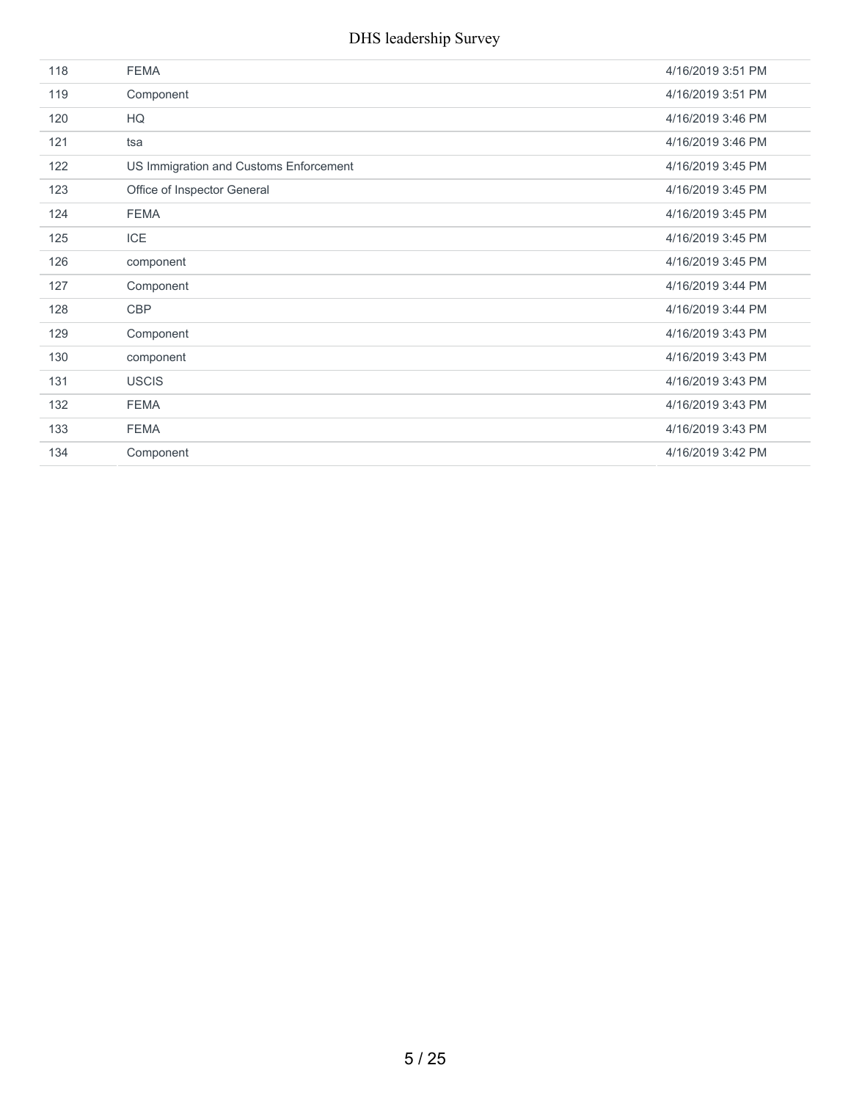| 118 | <b>FEMA</b>                            | 4/16/2019 3:51 PM |
|-----|----------------------------------------|-------------------|
| 119 | Component                              | 4/16/2019 3:51 PM |
| 120 | HQ                                     | 4/16/2019 3:46 PM |
| 121 | tsa                                    | 4/16/2019 3:46 PM |
| 122 | US Immigration and Customs Enforcement | 4/16/2019 3:45 PM |
| 123 | Office of Inspector General            | 4/16/2019 3:45 PM |
| 124 | <b>FEMA</b>                            | 4/16/2019 3:45 PM |
| 125 | <b>ICE</b>                             | 4/16/2019 3:45 PM |
| 126 | component                              | 4/16/2019 3:45 PM |
| 127 | Component                              | 4/16/2019 3:44 PM |
| 128 | CBP                                    | 4/16/2019 3:44 PM |
| 129 | Component                              | 4/16/2019 3:43 PM |
| 130 | component                              | 4/16/2019 3:43 PM |
| 131 | <b>USCIS</b>                           | 4/16/2019 3:43 PM |
| 132 | <b>FEMA</b>                            | 4/16/2019 3:43 PM |
| 133 | <b>FEMA</b>                            | 4/16/2019 3:43 PM |
| 134 | Component                              | 4/16/2019 3:42 PM |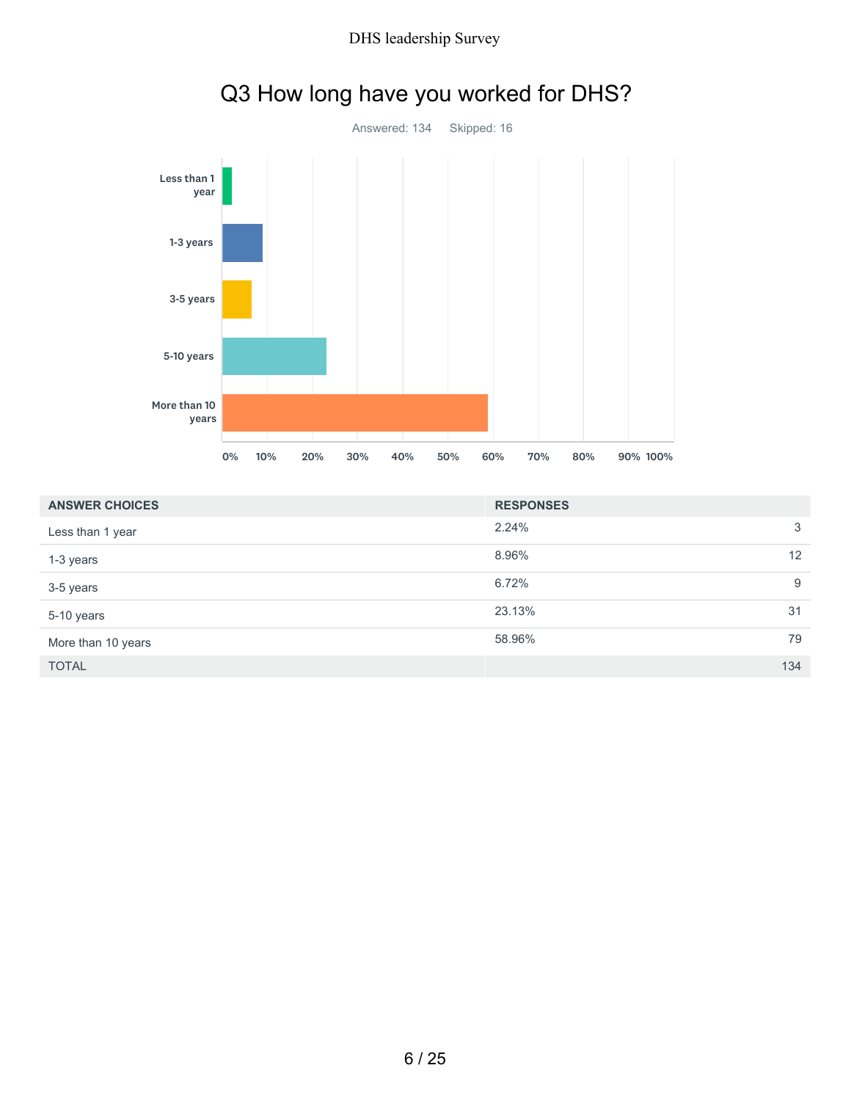

|                       | 0% | 10% | 20% | 30% | 40% | 50% | 60%    | 70%              | 80% | 90% 100% |  |     |
|-----------------------|----|-----|-----|-----|-----|-----|--------|------------------|-----|----------|--|-----|
| <b>ANSWER CHOICES</b> |    |     |     |     |     |     |        | <b>RESPONSES</b> |     |          |  |     |
| Less than 1 year      |    |     |     |     |     |     | 2.24%  |                  |     |          |  | 3   |
| 1-3 years             |    |     |     |     |     |     | 8.96%  |                  |     |          |  | 12  |
| 3-5 years             |    |     |     |     |     |     | 6.72%  |                  |     |          |  | 9   |
| 5-10 years            |    |     |     |     |     |     | 23.13% |                  |     |          |  | 31  |
| More than 10 years    |    |     |     |     |     |     | 58.96% |                  |     |          |  | 79  |
| <b>TOTAL</b>          |    |     |     |     |     |     |        |                  |     |          |  | 134 |

# Q3 How long have you worked for DHS?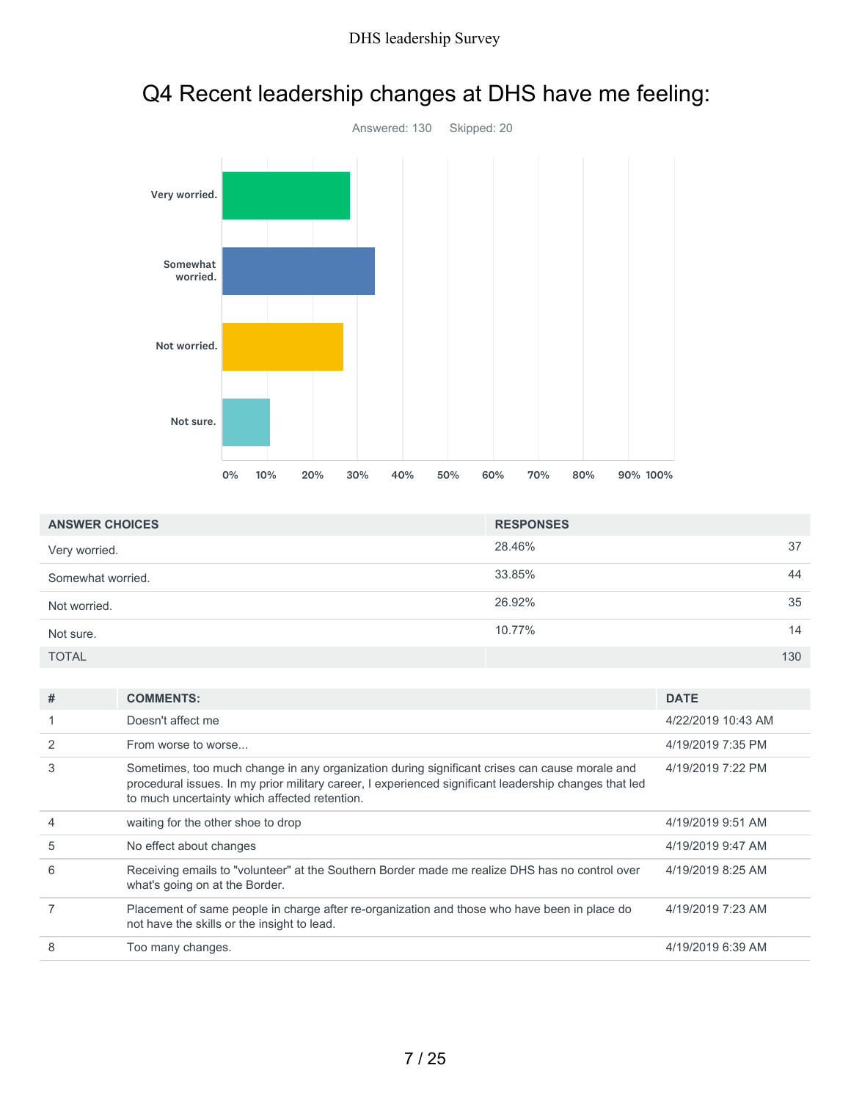

# Q4 Recent leadership changes at DHS have me feeling:

| <b>ANSWER CHOICES</b> | <b>RESPONSES</b> |     |
|-----------------------|------------------|-----|
| Very worried.         | 28.46%           | 37  |
| Somewhat worried.     | 33.85%           | 44  |
| Not worried.          | 26.92%           | 35  |
| Not sure.             | 10.77%           | 14  |
| <b>TOTAL</b>          |                  | 130 |

| # | <b>COMMENTS:</b>                                                                                                                                                                                                                                        | <b>DATE</b>        |
|---|---------------------------------------------------------------------------------------------------------------------------------------------------------------------------------------------------------------------------------------------------------|--------------------|
|   | Doesn't affect me                                                                                                                                                                                                                                       | 4/22/2019 10:43 AM |
|   | From worse to worse                                                                                                                                                                                                                                     | 4/19/2019 7:35 PM  |
| 3 | Sometimes, too much change in any organization during significant crises can cause morale and<br>procedural issues. In my prior military career, I experienced significant leadership changes that led<br>to much uncertainty which affected retention. | 4/19/2019 7:22 PM  |
| 4 | waiting for the other shoe to drop                                                                                                                                                                                                                      | 4/19/2019 9:51 AM  |
| 5 | No effect about changes                                                                                                                                                                                                                                 | 4/19/2019 9:47 AM  |
| 6 | Receiving emails to "volunteer" at the Southern Border made me realize DHS has no control over<br>what's going on at the Border.                                                                                                                        | 4/19/2019 8:25 AM  |
|   | Placement of same people in charge after re-organization and those who have been in place do<br>not have the skills or the insight to lead.                                                                                                             | 4/19/2019 7:23 AM  |
| 8 | Too many changes.                                                                                                                                                                                                                                       | 4/19/2019 6:39 AM  |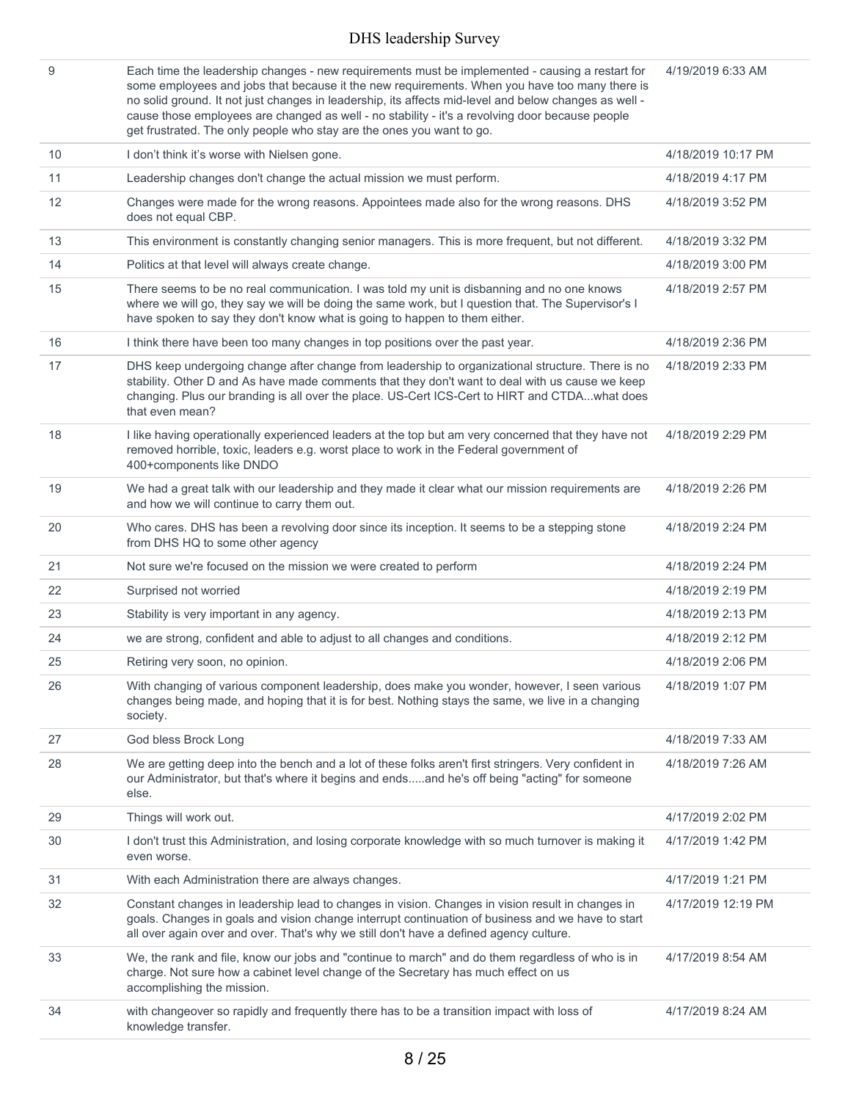| 9  | Each time the leadership changes - new requirements must be implemented - causing a restart for<br>some employees and jobs that because it the new requirements. When you have too many there is<br>no solid ground. It not just changes in leadership, its affects mid-level and below changes as well -<br>cause those employees are changed as well - no stability - it's a revolving door because people<br>get frustrated. The only people who stay are the ones you want to go. | 4/19/2019 6:33 AM  |
|----|---------------------------------------------------------------------------------------------------------------------------------------------------------------------------------------------------------------------------------------------------------------------------------------------------------------------------------------------------------------------------------------------------------------------------------------------------------------------------------------|--------------------|
| 10 | I don't think it's worse with Nielsen gone.                                                                                                                                                                                                                                                                                                                                                                                                                                           | 4/18/2019 10:17 PM |
| 11 | Leadership changes don't change the actual mission we must perform.                                                                                                                                                                                                                                                                                                                                                                                                                   | 4/18/2019 4:17 PM  |
| 12 | Changes were made for the wrong reasons. Appointees made also for the wrong reasons. DHS<br>does not equal CBP.                                                                                                                                                                                                                                                                                                                                                                       | 4/18/2019 3:52 PM  |
| 13 | This environment is constantly changing senior managers. This is more frequent, but not different.                                                                                                                                                                                                                                                                                                                                                                                    | 4/18/2019 3:32 PM  |
| 14 | Politics at that level will always create change.                                                                                                                                                                                                                                                                                                                                                                                                                                     | 4/18/2019 3:00 PM  |
| 15 | There seems to be no real communication. I was told my unit is disbanning and no one knows<br>where we will go, they say we will be doing the same work, but I question that. The Supervisor's I<br>have spoken to say they don't know what is going to happen to them either.                                                                                                                                                                                                        | 4/18/2019 2:57 PM  |
| 16 | I think there have been too many changes in top positions over the past year.                                                                                                                                                                                                                                                                                                                                                                                                         | 4/18/2019 2:36 PM  |
| 17 | DHS keep undergoing change after change from leadership to organizational structure. There is no<br>stability. Other D and As have made comments that they don't want to deal with us cause we keep<br>changing. Plus our branding is all over the place. US-Cert ICS-Cert to HIRT and CTDAwhat does<br>that even mean?                                                                                                                                                               | 4/18/2019 2:33 PM  |
| 18 | I like having operationally experienced leaders at the top but am very concerned that they have not<br>removed horrible, toxic, leaders e.g. worst place to work in the Federal government of<br>400+components like DNDO                                                                                                                                                                                                                                                             | 4/18/2019 2:29 PM  |
| 19 | We had a great talk with our leadership and they made it clear what our mission requirements are<br>and how we will continue to carry them out.                                                                                                                                                                                                                                                                                                                                       | 4/18/2019 2:26 PM  |
| 20 | Who cares. DHS has been a revolving door since its inception. It seems to be a stepping stone<br>from DHS HQ to some other agency                                                                                                                                                                                                                                                                                                                                                     | 4/18/2019 2:24 PM  |
| 21 | Not sure we're focused on the mission we were created to perform                                                                                                                                                                                                                                                                                                                                                                                                                      | 4/18/2019 2:24 PM  |
| 22 | Surprised not worried                                                                                                                                                                                                                                                                                                                                                                                                                                                                 | 4/18/2019 2:19 PM  |
| 23 | Stability is very important in any agency.                                                                                                                                                                                                                                                                                                                                                                                                                                            | 4/18/2019 2:13 PM  |
| 24 | we are strong, confident and able to adjust to all changes and conditions.                                                                                                                                                                                                                                                                                                                                                                                                            | 4/18/2019 2:12 PM  |
| 25 | Retiring very soon, no opinion.                                                                                                                                                                                                                                                                                                                                                                                                                                                       | 4/18/2019 2:06 PM  |
| 26 | With changing of various component leadership, does make you wonder, however, I seen various<br>changes being made, and hoping that it is for best. Nothing stays the same, we live in a changing<br>society.                                                                                                                                                                                                                                                                         | 4/18/2019 1:07 PM  |
| 27 | God bless Brock Long                                                                                                                                                                                                                                                                                                                                                                                                                                                                  | 4/18/2019 7:33 AM  |
| 28 | We are getting deep into the bench and a lot of these folks aren't first stringers. Very confident in<br>our Administrator, but that's where it begins and endsand he's off being "acting" for someone<br>else.                                                                                                                                                                                                                                                                       | 4/18/2019 7:26 AM  |
| 29 | Things will work out.                                                                                                                                                                                                                                                                                                                                                                                                                                                                 | 4/17/2019 2:02 PM  |
| 30 | I don't trust this Administration, and losing corporate knowledge with so much turnover is making it<br>even worse.                                                                                                                                                                                                                                                                                                                                                                   | 4/17/2019 1:42 PM  |
| 31 | With each Administration there are always changes.                                                                                                                                                                                                                                                                                                                                                                                                                                    | 4/17/2019 1:21 PM  |
| 32 | Constant changes in leadership lead to changes in vision. Changes in vision result in changes in<br>goals. Changes in goals and vision change interrupt continuation of business and we have to start<br>all over again over and over. That's why we still don't have a defined agency culture.                                                                                                                                                                                       | 4/17/2019 12:19 PM |
| 33 | We, the rank and file, know our jobs and "continue to march" and do them regardless of who is in<br>charge. Not sure how a cabinet level change of the Secretary has much effect on us<br>accomplishing the mission.                                                                                                                                                                                                                                                                  | 4/17/2019 8:54 AM  |
| 34 | with changeover so rapidly and frequently there has to be a transition impact with loss of<br>knowledge transfer.                                                                                                                                                                                                                                                                                                                                                                     | 4/17/2019 8:24 AM  |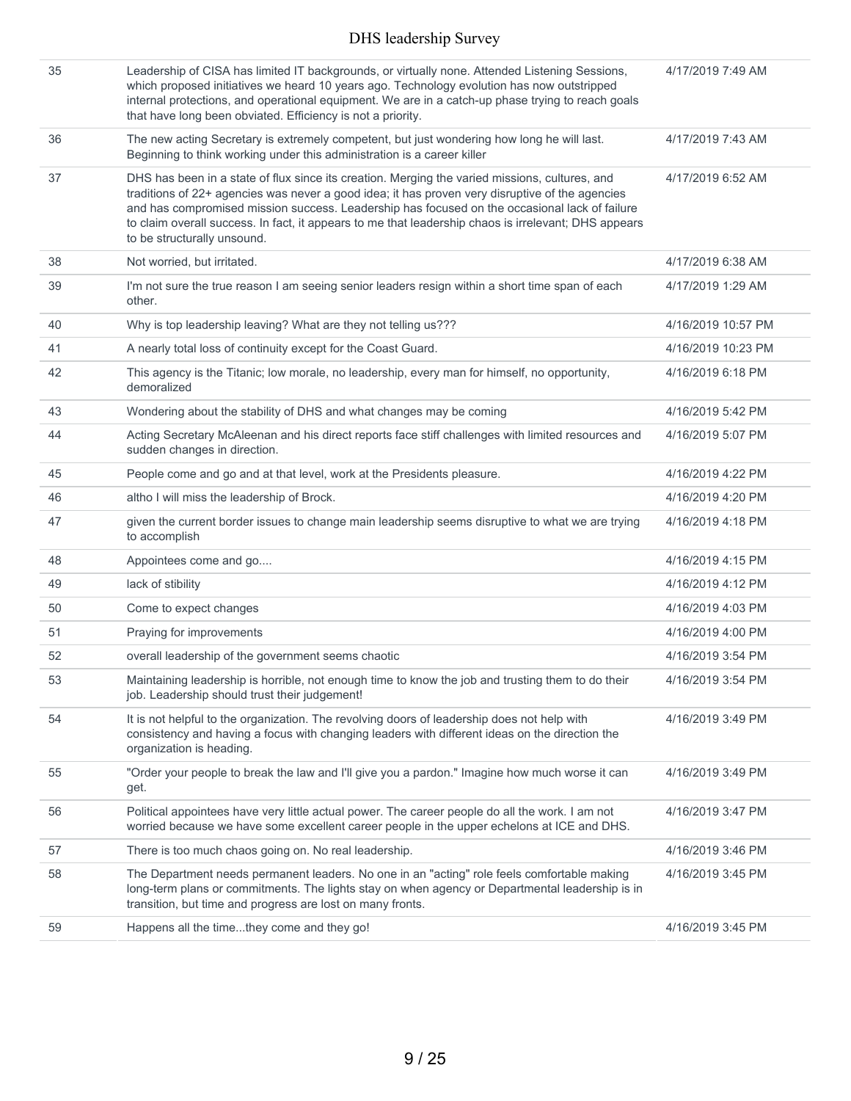| 35 | Leadership of CISA has limited IT backgrounds, or virtually none. Attended Listening Sessions,<br>which proposed initiatives we heard 10 years ago. Technology evolution has now outstripped<br>internal protections, and operational equipment. We are in a catch-up phase trying to reach goals<br>that have long been obviated. Efficiency is not a priority.                                                                          | 4/17/2019 7:49 AM  |
|----|-------------------------------------------------------------------------------------------------------------------------------------------------------------------------------------------------------------------------------------------------------------------------------------------------------------------------------------------------------------------------------------------------------------------------------------------|--------------------|
| 36 | The new acting Secretary is extremely competent, but just wondering how long he will last.<br>Beginning to think working under this administration is a career killer                                                                                                                                                                                                                                                                     | 4/17/2019 7:43 AM  |
| 37 | DHS has been in a state of flux since its creation. Merging the varied missions, cultures, and<br>traditions of 22+ agencies was never a good idea; it has proven very disruptive of the agencies<br>and has compromised mission success. Leadership has focused on the occasional lack of failure<br>to claim overall success. In fact, it appears to me that leadership chaos is irrelevant; DHS appears<br>to be structurally unsound. | 4/17/2019 6:52 AM  |
| 38 | Not worried, but irritated.                                                                                                                                                                                                                                                                                                                                                                                                               | 4/17/2019 6:38 AM  |
| 39 | I'm not sure the true reason I am seeing senior leaders resign within a short time span of each<br>other.                                                                                                                                                                                                                                                                                                                                 | 4/17/2019 1:29 AM  |
| 40 | Why is top leadership leaving? What are they not telling us???                                                                                                                                                                                                                                                                                                                                                                            | 4/16/2019 10:57 PM |
| 41 | A nearly total loss of continuity except for the Coast Guard.                                                                                                                                                                                                                                                                                                                                                                             | 4/16/2019 10:23 PM |
| 42 | This agency is the Titanic; low morale, no leadership, every man for himself, no opportunity,<br>demoralized                                                                                                                                                                                                                                                                                                                              | 4/16/2019 6:18 PM  |
| 43 | Wondering about the stability of DHS and what changes may be coming                                                                                                                                                                                                                                                                                                                                                                       | 4/16/2019 5:42 PM  |
| 44 | Acting Secretary McAleenan and his direct reports face stiff challenges with limited resources and<br>sudden changes in direction.                                                                                                                                                                                                                                                                                                        | 4/16/2019 5:07 PM  |
| 45 | People come and go and at that level, work at the Presidents pleasure.                                                                                                                                                                                                                                                                                                                                                                    | 4/16/2019 4:22 PM  |
| 46 | altho I will miss the leadership of Brock.                                                                                                                                                                                                                                                                                                                                                                                                | 4/16/2019 4:20 PM  |
| 47 | given the current border issues to change main leadership seems disruptive to what we are trying<br>to accomplish                                                                                                                                                                                                                                                                                                                         | 4/16/2019 4:18 PM  |
| 48 | Appointees come and go                                                                                                                                                                                                                                                                                                                                                                                                                    | 4/16/2019 4:15 PM  |
| 49 | lack of stibility                                                                                                                                                                                                                                                                                                                                                                                                                         | 4/16/2019 4:12 PM  |
| 50 | Come to expect changes                                                                                                                                                                                                                                                                                                                                                                                                                    | 4/16/2019 4:03 PM  |
| 51 | Praying for improvements                                                                                                                                                                                                                                                                                                                                                                                                                  | 4/16/2019 4:00 PM  |
| 52 | overall leadership of the government seems chaotic                                                                                                                                                                                                                                                                                                                                                                                        | 4/16/2019 3:54 PM  |
| 53 | Maintaining leadership is horrible, not enough time to know the job and trusting them to do their<br>job. Leadership should trust their judgement!                                                                                                                                                                                                                                                                                        | 4/16/2019 3:54 PM  |
| 54 | It is not helpful to the organization. The revolving doors of leadership does not help with<br>consistency and having a focus with changing leaders with different ideas on the direction the<br>organization is heading.                                                                                                                                                                                                                 | 4/16/2019 3:49 PM  |
| 55 | "Order your people to break the law and I'll give you a pardon." Imagine how much worse it can<br>get.                                                                                                                                                                                                                                                                                                                                    | 4/16/2019 3:49 PM  |
| 56 | Political appointees have very little actual power. The career people do all the work. I am not<br>worried because we have some excellent career people in the upper echelons at ICE and DHS.                                                                                                                                                                                                                                             | 4/16/2019 3:47 PM  |
| 57 | There is too much chaos going on. No real leadership.                                                                                                                                                                                                                                                                                                                                                                                     | 4/16/2019 3:46 PM  |
| 58 | The Department needs permanent leaders. No one in an "acting" role feels comfortable making<br>long-term plans or commitments. The lights stay on when agency or Departmental leadership is in<br>transition, but time and progress are lost on many fronts.                                                                                                                                                                              | 4/16/2019 3:45 PM  |
| 59 | Happens all the timethey come and they go!                                                                                                                                                                                                                                                                                                                                                                                                | 4/16/2019 3:45 PM  |
|    |                                                                                                                                                                                                                                                                                                                                                                                                                                           |                    |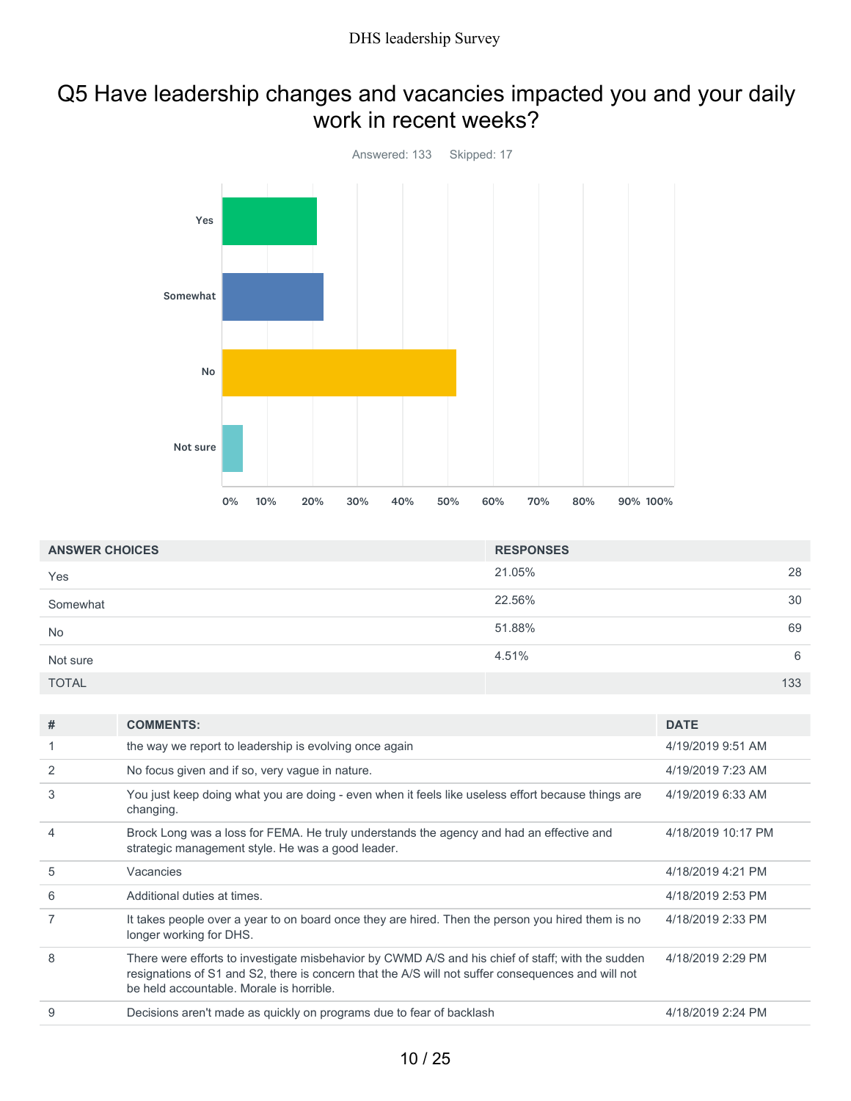### Q5 Have leadership changes and vacancies impacted you and your daily work in recent weeks?



| <b>ANSWER CHOICES</b> | <b>RESPONSES</b> |     |
|-----------------------|------------------|-----|
| Yes                   | 21.05%           | 28  |
| Somewhat              | 22.56%           | 30  |
| No                    | 51.88%           | 69  |
| Not sure              | 4.51%            | 6   |
| <b>TOTAL</b>          |                  | 133 |

| # | <b>COMMENTS:</b>                                                                                                                                                                                                                                    | <b>DATE</b>        |
|---|-----------------------------------------------------------------------------------------------------------------------------------------------------------------------------------------------------------------------------------------------------|--------------------|
|   | the way we report to leadership is evolving once again                                                                                                                                                                                              | 4/19/2019 9:51 AM  |
| 2 | No focus given and if so, very vague in nature.                                                                                                                                                                                                     | 4/19/2019 7:23 AM  |
| 3 | You just keep doing what you are doing - even when it feels like useless effort because things are<br>changing.                                                                                                                                     | 4/19/2019 6:33 AM  |
| 4 | Brock Long was a loss for FEMA. He truly understands the agency and had an effective and<br>strategic management style. He was a good leader.                                                                                                       | 4/18/2019 10:17 PM |
| 5 | Vacancies                                                                                                                                                                                                                                           | 4/18/2019 4:21 PM  |
| 6 | Additional duties at times.                                                                                                                                                                                                                         | 4/18/2019 2:53 PM  |
|   | It takes people over a year to on board once they are hired. Then the person you hired them is no<br>longer working for DHS.                                                                                                                        | 4/18/2019 2:33 PM  |
| 8 | There were efforts to investigate misbehavior by CWMD A/S and his chief of staff; with the sudden<br>resignations of S1 and S2, there is concern that the A/S will not suffer consequences and will not<br>be held accountable. Morale is horrible. | 4/18/2019 2:29 PM  |
| 9 | Decisions aren't made as quickly on programs due to fear of backlash                                                                                                                                                                                | 4/18/2019 2:24 PM  |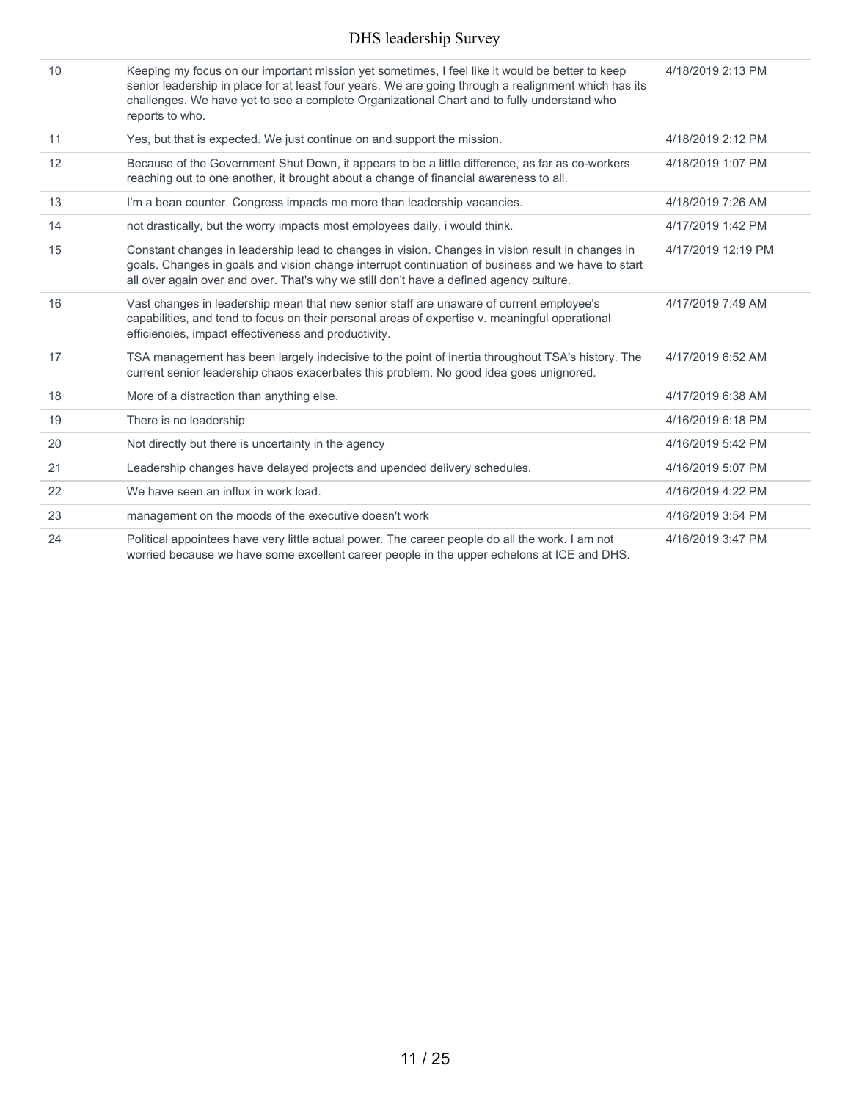| 10 | Keeping my focus on our important mission yet sometimes, I feel like it would be better to keep<br>senior leadership in place for at least four years. We are going through a realignment which has its<br>challenges. We have yet to see a complete Organizational Chart and to fully understand who<br>reports to who. | 4/18/2019 2:13 PM  |
|----|--------------------------------------------------------------------------------------------------------------------------------------------------------------------------------------------------------------------------------------------------------------------------------------------------------------------------|--------------------|
| 11 | Yes, but that is expected. We just continue on and support the mission.                                                                                                                                                                                                                                                  | 4/18/2019 2:12 PM  |
| 12 | Because of the Government Shut Down, it appears to be a little difference, as far as co-workers<br>reaching out to one another, it brought about a change of financial awareness to all.                                                                                                                                 | 4/18/2019 1:07 PM  |
| 13 | I'm a bean counter. Congress impacts me more than leadership vacancies.                                                                                                                                                                                                                                                  | 4/18/2019 7:26 AM  |
| 14 | not drastically, but the worry impacts most employees daily, i would think.                                                                                                                                                                                                                                              | 4/17/2019 1:42 PM  |
| 15 | Constant changes in leadership lead to changes in vision. Changes in vision result in changes in<br>goals. Changes in goals and vision change interrupt continuation of business and we have to start<br>all over again over and over. That's why we still don't have a defined agency culture.                          | 4/17/2019 12:19 PM |
| 16 | Vast changes in leadership mean that new senior staff are unaware of current employee's<br>capabilities, and tend to focus on their personal areas of expertise v. meaningful operational<br>efficiencies, impact effectiveness and productivity.                                                                        | 4/17/2019 7:49 AM  |
| 17 | TSA management has been largely indecisive to the point of inertia throughout TSA's history. The<br>current senior leadership chaos exacerbates this problem. No good idea goes unignored.                                                                                                                               | 4/17/2019 6:52 AM  |
| 18 | More of a distraction than anything else.                                                                                                                                                                                                                                                                                | 4/17/2019 6:38 AM  |
| 19 | There is no leadership                                                                                                                                                                                                                                                                                                   | 4/16/2019 6:18 PM  |
| 20 | Not directly but there is uncertainty in the agency                                                                                                                                                                                                                                                                      | 4/16/2019 5:42 PM  |
| 21 | Leadership changes have delayed projects and upended delivery schedules.                                                                                                                                                                                                                                                 | 4/16/2019 5:07 PM  |
| 22 | We have seen an influx in work load.                                                                                                                                                                                                                                                                                     | 4/16/2019 4:22 PM  |
| 23 | management on the moods of the executive doesn't work                                                                                                                                                                                                                                                                    | 4/16/2019 3:54 PM  |
| 24 | Political appointees have very little actual power. The career people do all the work. I am not<br>worried because we have some excellent career people in the upper echelons at ICE and DHS.                                                                                                                            | 4/16/2019 3:47 PM  |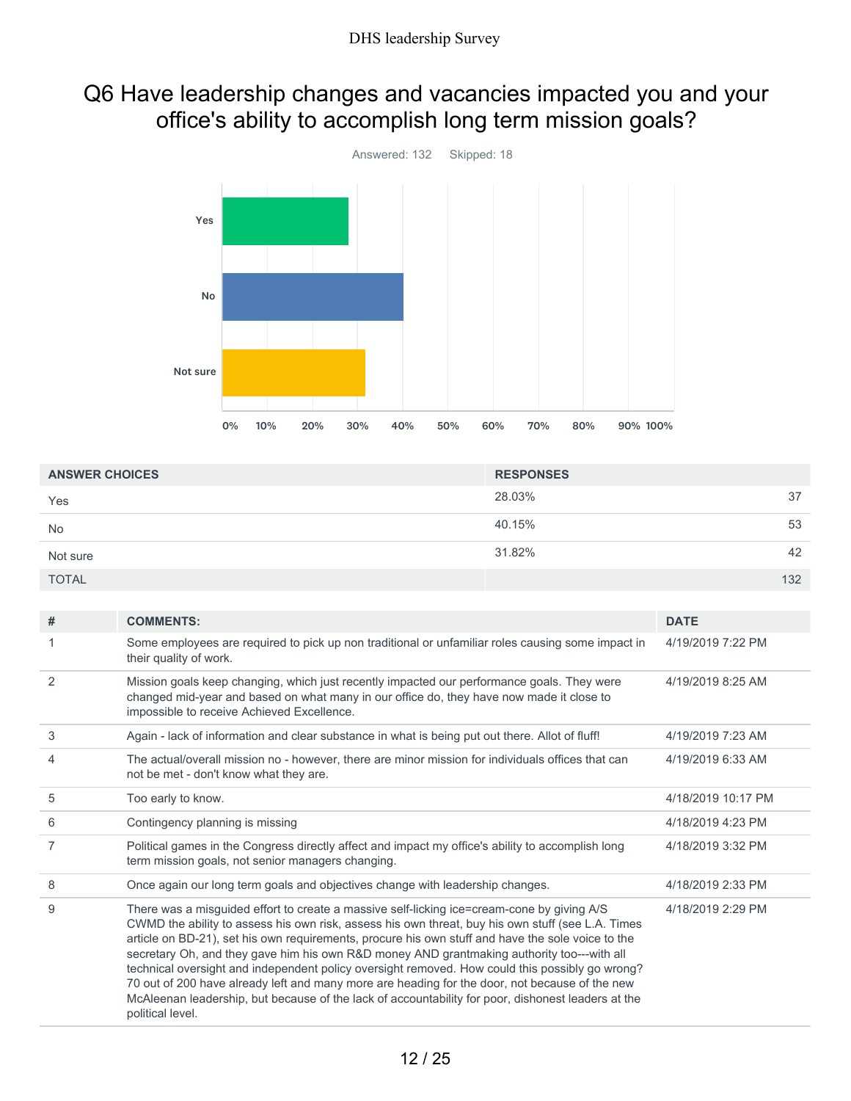### Q6 Have leadership changes and vacancies impacted you and your office's ability to accomplish long term mission goals?



| <b>ANSWER CHOICES</b> | <b>RESPONSES</b> |     |
|-----------------------|------------------|-----|
| Yes                   | 28.03%           | 37  |
| <b>No</b>             | 40.15%           | 53  |
| Not sure              | 31.82%           | 42  |
| <b>TOTAL</b>          |                  | 132 |

| #              | <b>COMMENTS:</b>                                                                                                                                                                                                                                                                                                                                                                                                                                                                                                                                                                                                                                                                                                                  | <b>DATE</b>        |
|----------------|-----------------------------------------------------------------------------------------------------------------------------------------------------------------------------------------------------------------------------------------------------------------------------------------------------------------------------------------------------------------------------------------------------------------------------------------------------------------------------------------------------------------------------------------------------------------------------------------------------------------------------------------------------------------------------------------------------------------------------------|--------------------|
|                | Some employees are required to pick up non traditional or unfamiliar roles causing some impact in<br>their quality of work.                                                                                                                                                                                                                                                                                                                                                                                                                                                                                                                                                                                                       | 4/19/2019 7:22 PM  |
| 2              | Mission goals keep changing, which just recently impacted our performance goals. They were<br>changed mid-year and based on what many in our office do, they have now made it close to<br>impossible to receive Achieved Excellence.                                                                                                                                                                                                                                                                                                                                                                                                                                                                                              | 4/19/2019 8:25 AM  |
| 3              | Again - lack of information and clear substance in what is being put out there. Allot of fluff!                                                                                                                                                                                                                                                                                                                                                                                                                                                                                                                                                                                                                                   | 4/19/2019 7:23 AM  |
| $\overline{4}$ | The actual/overall mission no - however, there are minor mission for individuals offices that can<br>not be met - don't know what they are.                                                                                                                                                                                                                                                                                                                                                                                                                                                                                                                                                                                       | 4/19/2019 6:33 AM  |
| 5              | Too early to know.                                                                                                                                                                                                                                                                                                                                                                                                                                                                                                                                                                                                                                                                                                                | 4/18/2019 10:17 PM |
| 6              | Contingency planning is missing                                                                                                                                                                                                                                                                                                                                                                                                                                                                                                                                                                                                                                                                                                   | 4/18/2019 4:23 PM  |
| $\overline{7}$ | Political games in the Congress directly affect and impact my office's ability to accomplish long<br>term mission goals, not senior managers changing.                                                                                                                                                                                                                                                                                                                                                                                                                                                                                                                                                                            | 4/18/2019 3:32 PM  |
| 8              | Once again our long term goals and objectives change with leadership changes.                                                                                                                                                                                                                                                                                                                                                                                                                                                                                                                                                                                                                                                     | 4/18/2019 2:33 PM  |
| 9              | There was a misguided effort to create a massive self-licking ice=cream-cone by giving A/S<br>CWMD the ability to assess his own risk, assess his own threat, buy his own stuff (see L.A. Times<br>article on BD-21), set his own requirements, procure his own stuff and have the sole voice to the<br>secretary Oh, and they gave him his own R&D money AND grantmaking authority too---with all<br>technical oversight and independent policy oversight removed. How could this possibly go wrong?<br>70 out of 200 have already left and many more are heading for the door, not because of the new<br>McAleenan leadership, but because of the lack of accountability for poor, dishonest leaders at the<br>political level. | 4/18/2019 2:29 PM  |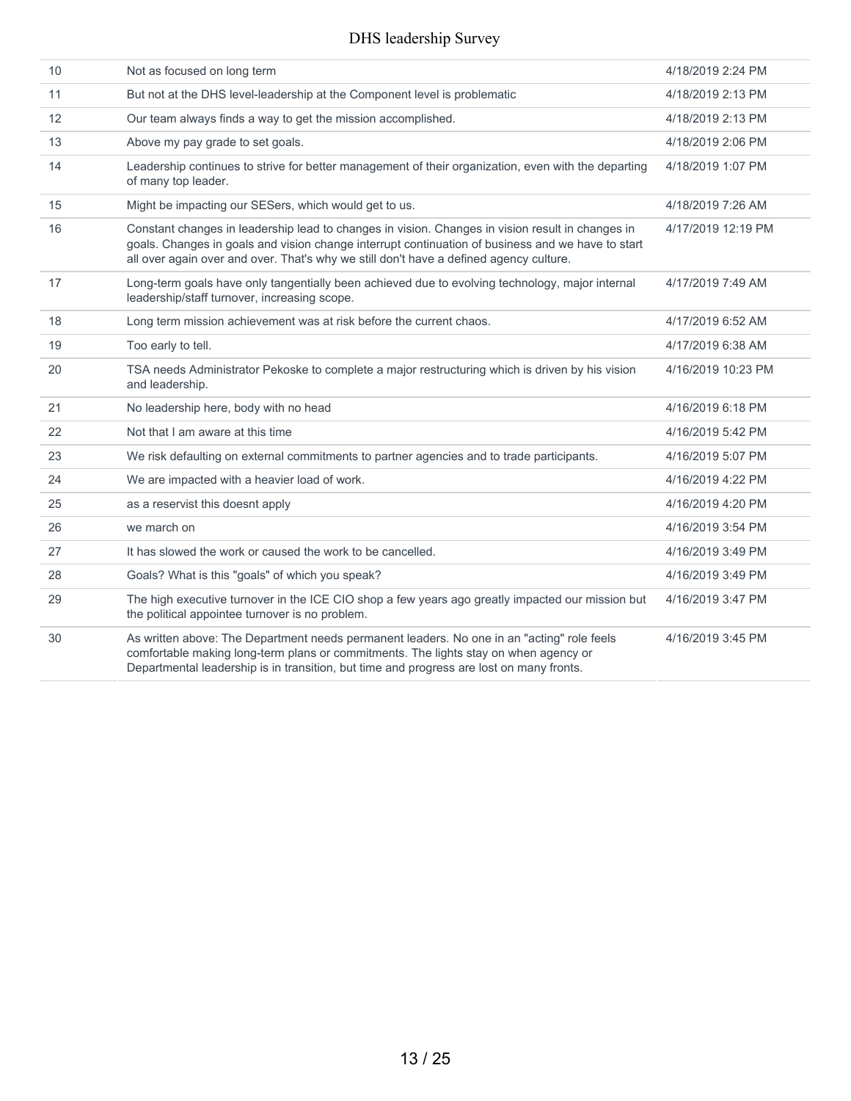| 10                | Not as focused on long term                                                                                                                                                                                                                                                                     | 4/18/2019 2:24 PM  |
|-------------------|-------------------------------------------------------------------------------------------------------------------------------------------------------------------------------------------------------------------------------------------------------------------------------------------------|--------------------|
| 11                | But not at the DHS level-leadership at the Component level is problematic                                                                                                                                                                                                                       | 4/18/2019 2:13 PM  |
| $12 \overline{ }$ | Our team always finds a way to get the mission accomplished.                                                                                                                                                                                                                                    | 4/18/2019 2:13 PM  |
| 13                | Above my pay grade to set goals.                                                                                                                                                                                                                                                                | 4/18/2019 2:06 PM  |
| 14                | Leadership continues to strive for better management of their organization, even with the departing<br>of many top leader.                                                                                                                                                                      | 4/18/2019 1:07 PM  |
| 15                | Might be impacting our SESers, which would get to us.                                                                                                                                                                                                                                           | 4/18/2019 7:26 AM  |
| 16                | Constant changes in leadership lead to changes in vision. Changes in vision result in changes in<br>goals. Changes in goals and vision change interrupt continuation of business and we have to start<br>all over again over and over. That's why we still don't have a defined agency culture. | 4/17/2019 12:19 PM |
| 17                | Long-term goals have only tangentially been achieved due to evolving technology, major internal<br>leadership/staff turnover, increasing scope.                                                                                                                                                 | 4/17/2019 7:49 AM  |
| 18                | Long term mission achievement was at risk before the current chaos.                                                                                                                                                                                                                             | 4/17/2019 6:52 AM  |
| 19                | Too early to tell.                                                                                                                                                                                                                                                                              | 4/17/2019 6:38 AM  |
| 20                | TSA needs Administrator Pekoske to complete a major restructuring which is driven by his vision<br>and leadership.                                                                                                                                                                              | 4/16/2019 10:23 PM |
| 21                | No leadership here, body with no head                                                                                                                                                                                                                                                           | 4/16/2019 6:18 PM  |
| 22                | Not that I am aware at this time                                                                                                                                                                                                                                                                | 4/16/2019 5:42 PM  |
| 23                | We risk defaulting on external commitments to partner agencies and to trade participants.                                                                                                                                                                                                       | 4/16/2019 5:07 PM  |
| 24                | We are impacted with a heavier load of work.                                                                                                                                                                                                                                                    | 4/16/2019 4:22 PM  |
| 25                | as a reservist this doesnt apply                                                                                                                                                                                                                                                                | 4/16/2019 4:20 PM  |
| 26                | we march on                                                                                                                                                                                                                                                                                     | 4/16/2019 3:54 PM  |
| 27                | It has slowed the work or caused the work to be cancelled.                                                                                                                                                                                                                                      | 4/16/2019 3:49 PM  |
| 28                | Goals? What is this "goals" of which you speak?                                                                                                                                                                                                                                                 | 4/16/2019 3:49 PM  |
| 29                | The high executive turnover in the ICE CIO shop a few years ago greatly impacted our mission but<br>the political appointee turnover is no problem.                                                                                                                                             | 4/16/2019 3:47 PM  |
| 30                | As written above: The Department needs permanent leaders. No one in an "acting" role feels<br>comfortable making long-term plans or commitments. The lights stay on when agency or<br>Departmental leadership is in transition, but time and progress are lost on many fronts.                  | 4/16/2019 3:45 PM  |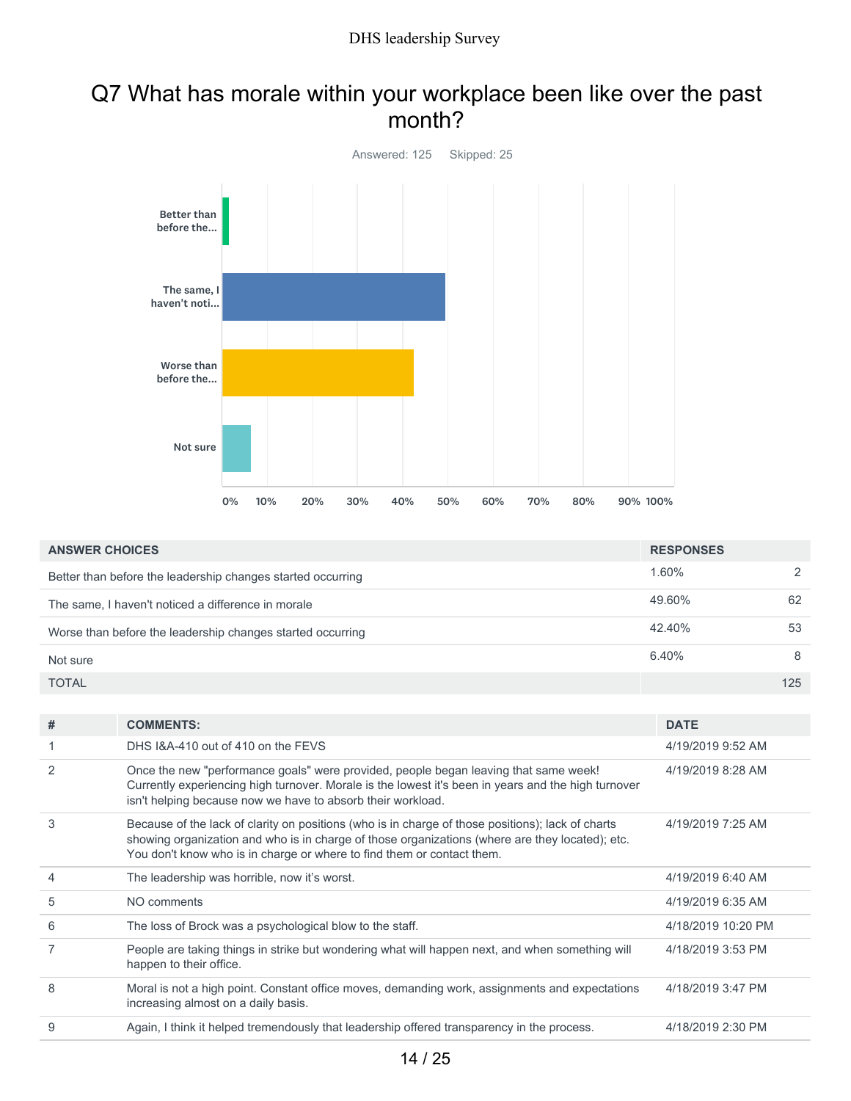### Q7 What has morale within your workplace been like over the past month?



| <b>ANSWER CHOICES</b>                                       | <b>RESPONSES</b> |               |
|-------------------------------------------------------------|------------------|---------------|
| Better than before the leadership changes started occurring | 1.60%            | $\mathcal{D}$ |
| The same, I haven't noticed a difference in morale          | 49.60%           | 62            |
| Worse than before the leadership changes started occurring  | 42.40%           | 53            |
| Not sure                                                    | 6.40%            | 8             |
| <b>TOTAL</b>                                                |                  | 125           |

| #              | <b>COMMENTS:</b>                                                                                                                                                                                                                                                               | <b>DATE</b>        |
|----------------|--------------------------------------------------------------------------------------------------------------------------------------------------------------------------------------------------------------------------------------------------------------------------------|--------------------|
|                | DHS 1&A-410 out of 410 on the FEVS                                                                                                                                                                                                                                             | 4/19/2019 9:52 AM  |
| 2              | Once the new "performance goals" were provided, people began leaving that same week!<br>Currently experiencing high turnover. Morale is the lowest it's been in years and the high turnover<br>isn't helping because now we have to absorb their workload.                     | 4/19/2019 8:28 AM  |
| 3              | Because of the lack of clarity on positions (who is in charge of those positions); lack of charts<br>showing organization and who is in charge of those organizations (where are they located); etc.<br>You don't know who is in charge or where to find them or contact them. | 4/19/2019 7:25 AM  |
| $\overline{4}$ | The leadership was horrible, now it's worst.                                                                                                                                                                                                                                   | 4/19/2019 6:40 AM  |
| 5              | NO comments                                                                                                                                                                                                                                                                    | 4/19/2019 6:35 AM  |
| 6              | The loss of Brock was a psychological blow to the staff.                                                                                                                                                                                                                       | 4/18/2019 10:20 PM |
| 7              | People are taking things in strike but wondering what will happen next, and when something will<br>happen to their office.                                                                                                                                                     | 4/18/2019 3:53 PM  |
| 8              | Moral is not a high point. Constant office moves, demanding work, assignments and expectations<br>increasing almost on a daily basis.                                                                                                                                          | 4/18/2019 3:47 PM  |
| 9              | Again, I think it helped tremendously that leadership offered transparency in the process.                                                                                                                                                                                     | 4/18/2019 2:30 PM  |
|                |                                                                                                                                                                                                                                                                                |                    |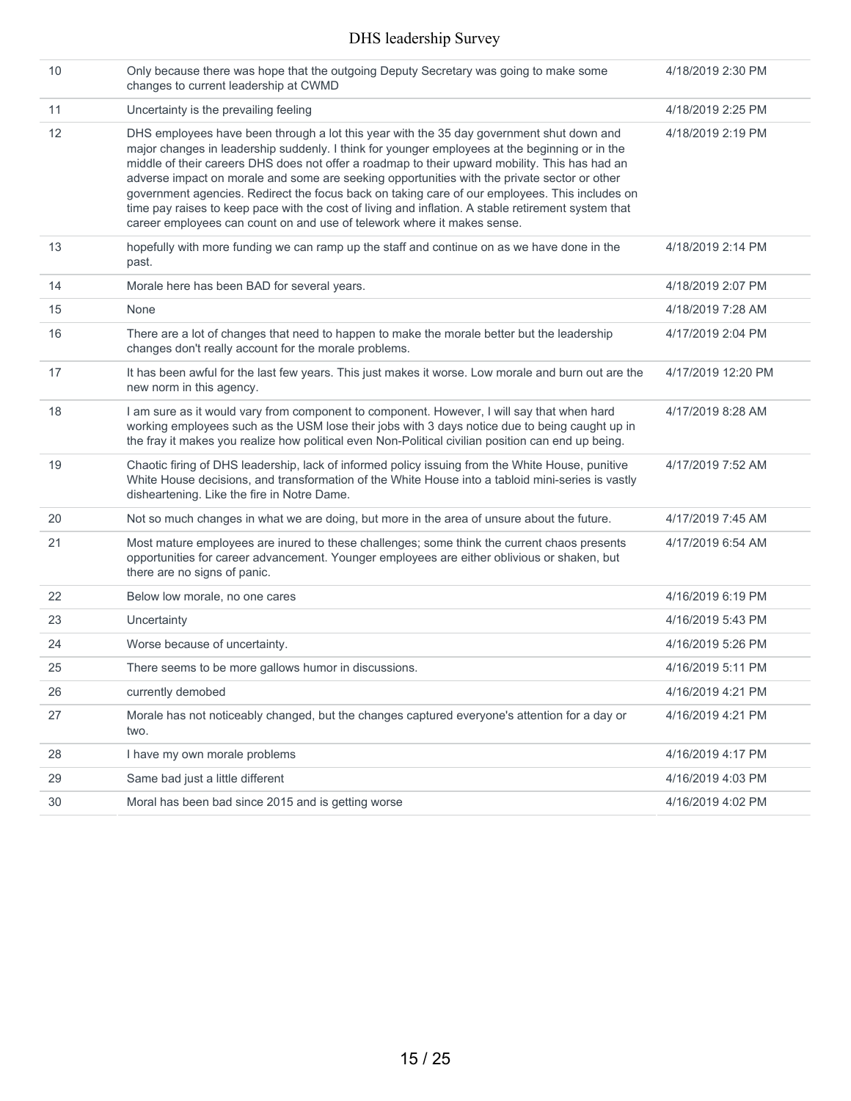| 10 | Only because there was hope that the outgoing Deputy Secretary was going to make some<br>changes to current leadership at CWMD                                                                                                                                                                                                                                                                                                                                                                                                                                                                                                                                                   | 4/18/2019 2:30 PM  |
|----|----------------------------------------------------------------------------------------------------------------------------------------------------------------------------------------------------------------------------------------------------------------------------------------------------------------------------------------------------------------------------------------------------------------------------------------------------------------------------------------------------------------------------------------------------------------------------------------------------------------------------------------------------------------------------------|--------------------|
| 11 | Uncertainty is the prevailing feeling                                                                                                                                                                                                                                                                                                                                                                                                                                                                                                                                                                                                                                            | 4/18/2019 2:25 PM  |
| 12 | DHS employees have been through a lot this year with the 35 day government shut down and<br>major changes in leadership suddenly. I think for younger employees at the beginning or in the<br>middle of their careers DHS does not offer a roadmap to their upward mobility. This has had an<br>adverse impact on morale and some are seeking opportunities with the private sector or other<br>government agencies. Redirect the focus back on taking care of our employees. This includes on<br>time pay raises to keep pace with the cost of living and inflation. A stable retirement system that<br>career employees can count on and use of telework where it makes sense. | 4/18/2019 2:19 PM  |
| 13 | hopefully with more funding we can ramp up the staff and continue on as we have done in the<br>past.                                                                                                                                                                                                                                                                                                                                                                                                                                                                                                                                                                             | 4/18/2019 2:14 PM  |
| 14 | Morale here has been BAD for several years.                                                                                                                                                                                                                                                                                                                                                                                                                                                                                                                                                                                                                                      | 4/18/2019 2:07 PM  |
| 15 | None                                                                                                                                                                                                                                                                                                                                                                                                                                                                                                                                                                                                                                                                             | 4/18/2019 7:28 AM  |
| 16 | There are a lot of changes that need to happen to make the morale better but the leadership<br>changes don't really account for the morale problems.                                                                                                                                                                                                                                                                                                                                                                                                                                                                                                                             | 4/17/2019 2:04 PM  |
| 17 | It has been awful for the last few years. This just makes it worse. Low morale and burn out are the<br>new norm in this agency.                                                                                                                                                                                                                                                                                                                                                                                                                                                                                                                                                  | 4/17/2019 12:20 PM |
| 18 | I am sure as it would vary from component to component. However, I will say that when hard<br>working employees such as the USM lose their jobs with 3 days notice due to being caught up in<br>the fray it makes you realize how political even Non-Political civilian position can end up being.                                                                                                                                                                                                                                                                                                                                                                               | 4/17/2019 8:28 AM  |
| 19 | Chaotic firing of DHS leadership, lack of informed policy issuing from the White House, punitive<br>White House decisions, and transformation of the White House into a tabloid mini-series is vastly<br>disheartening. Like the fire in Notre Dame.                                                                                                                                                                                                                                                                                                                                                                                                                             | 4/17/2019 7:52 AM  |
| 20 | Not so much changes in what we are doing, but more in the area of unsure about the future.                                                                                                                                                                                                                                                                                                                                                                                                                                                                                                                                                                                       | 4/17/2019 7:45 AM  |
| 21 | Most mature employees are inured to these challenges; some think the current chaos presents<br>opportunities for career advancement. Younger employees are either oblivious or shaken, but<br>there are no signs of panic.                                                                                                                                                                                                                                                                                                                                                                                                                                                       | 4/17/2019 6:54 AM  |
| 22 | Below low morale, no one cares                                                                                                                                                                                                                                                                                                                                                                                                                                                                                                                                                                                                                                                   | 4/16/2019 6:19 PM  |
| 23 | Uncertainty                                                                                                                                                                                                                                                                                                                                                                                                                                                                                                                                                                                                                                                                      | 4/16/2019 5:43 PM  |
| 24 | Worse because of uncertainty.                                                                                                                                                                                                                                                                                                                                                                                                                                                                                                                                                                                                                                                    | 4/16/2019 5:26 PM  |
| 25 | There seems to be more gallows humor in discussions.                                                                                                                                                                                                                                                                                                                                                                                                                                                                                                                                                                                                                             | 4/16/2019 5:11 PM  |
| 26 | currently demobed                                                                                                                                                                                                                                                                                                                                                                                                                                                                                                                                                                                                                                                                | 4/16/2019 4:21 PM  |
| 27 | Morale has not noticeably changed, but the changes captured everyone's attention for a day or<br>two.                                                                                                                                                                                                                                                                                                                                                                                                                                                                                                                                                                            | 4/16/2019 4:21 PM  |
| 28 | I have my own morale problems                                                                                                                                                                                                                                                                                                                                                                                                                                                                                                                                                                                                                                                    | 4/16/2019 4:17 PM  |
| 29 | Same bad just a little different                                                                                                                                                                                                                                                                                                                                                                                                                                                                                                                                                                                                                                                 | 4/16/2019 4:03 PM  |
| 30 | Moral has been bad since 2015 and is getting worse                                                                                                                                                                                                                                                                                                                                                                                                                                                                                                                                                                                                                               | 4/16/2019 4:02 PM  |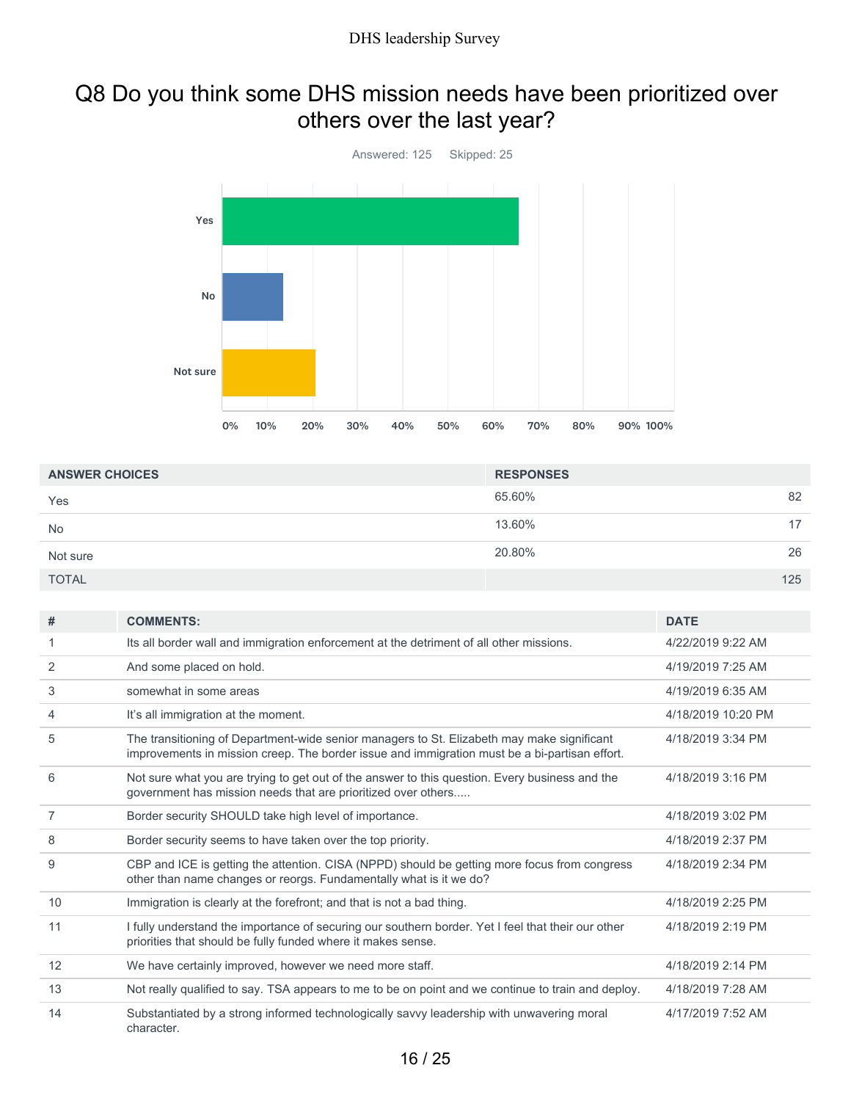### Q8 Do you think some DHS mission needs have been prioritized over others over the last year?



| <b>ANSWER CHOICES</b> | <b>RESPONSES</b> |     |
|-----------------------|------------------|-----|
| Yes                   | 65.60%           | 82  |
| <b>No</b>             | 13.60%           | 17  |
| Not sure              | 20.80%           | 26  |
| <b>TOTAL</b>          |                  | 125 |

| #  | <b>COMMENTS:</b>                                                                                                                                                                            | <b>DATE</b>        |
|----|---------------------------------------------------------------------------------------------------------------------------------------------------------------------------------------------|--------------------|
|    | Its all border wall and immigration enforcement at the detriment of all other missions.                                                                                                     | 4/22/2019 9:22 AM  |
| 2  | And some placed on hold.                                                                                                                                                                    | 4/19/2019 7:25 AM  |
| 3  | somewhat in some areas                                                                                                                                                                      | 4/19/2019 6:35 AM  |
| 4  | It's all immigration at the moment.                                                                                                                                                         | 4/18/2019 10:20 PM |
| 5  | The transitioning of Department-wide senior managers to St. Elizabeth may make significant<br>improvements in mission creep. The border issue and immigration must be a bi-partisan effort. | 4/18/2019 3:34 PM  |
| 6  | Not sure what you are trying to get out of the answer to this question. Every business and the<br>government has mission needs that are prioritized over others                             | 4/18/2019 3:16 PM  |
| 7  | Border security SHOULD take high level of importance.                                                                                                                                       | 4/18/2019 3:02 PM  |
| 8  | Border security seems to have taken over the top priority.                                                                                                                                  | 4/18/2019 2:37 PM  |
| 9  | CBP and ICE is getting the attention. CISA (NPPD) should be getting more focus from congress<br>other than name changes or reorgs. Fundamentally what is it we do?                          | 4/18/2019 2:34 PM  |
| 10 | Immigration is clearly at the forefront; and that is not a bad thing.                                                                                                                       | 4/18/2019 2:25 PM  |
| 11 | I fully understand the importance of securing our southern border. Yet I feel that their our other<br>priorities that should be fully funded where it makes sense.                          | 4/18/2019 2:19 PM  |
| 12 | We have certainly improved, however we need more staff.                                                                                                                                     | 4/18/2019 2:14 PM  |
| 13 | Not really qualified to say. TSA appears to me to be on point and we continue to train and deploy.                                                                                          | 4/18/2019 7:28 AM  |
| 14 | Substantiated by a strong informed technologically savvy leadership with unwavering moral<br>character.                                                                                     | 4/17/2019 7:52 AM  |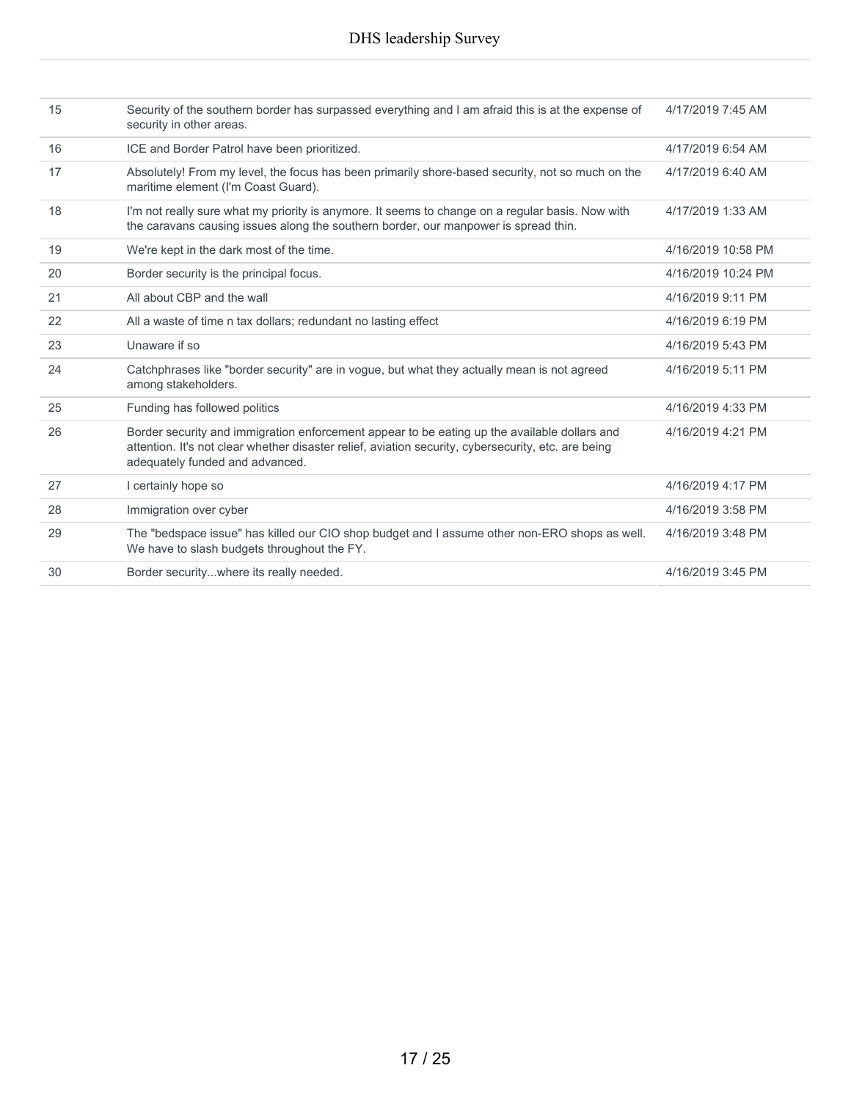| 15 | Security of the southern border has surpassed everything and I am afraid this is at the expense of<br>security in other areas.                                                                                                         | 4/17/2019 7:45 AM  |
|----|----------------------------------------------------------------------------------------------------------------------------------------------------------------------------------------------------------------------------------------|--------------------|
| 16 | ICE and Border Patrol have been prioritized.                                                                                                                                                                                           | 4/17/2019 6:54 AM  |
| 17 | Absolutely! From my level, the focus has been primarily shore-based security, not so much on the<br>maritime element (I'm Coast Guard).                                                                                                | 4/17/2019 6:40 AM  |
| 18 | I'm not really sure what my priority is anymore. It seems to change on a regular basis. Now with<br>the caravans causing issues along the southern border, our manpower is spread thin.                                                | 4/17/2019 1:33 AM  |
| 19 | We're kept in the dark most of the time.                                                                                                                                                                                               | 4/16/2019 10:58 PM |
| 20 | Border security is the principal focus.                                                                                                                                                                                                | 4/16/2019 10:24 PM |
| 21 | All about CBP and the wall                                                                                                                                                                                                             | 4/16/2019 9:11 PM  |
| 22 | All a waste of time n tax dollars; redundant no lasting effect                                                                                                                                                                         | 4/16/2019 6:19 PM  |
| 23 | Unaware if so                                                                                                                                                                                                                          | 4/16/2019 5:43 PM  |
| 24 | Catchphrases like "border security" are in vogue, but what they actually mean is not agreed<br>among stakeholders.                                                                                                                     | 4/16/2019 5:11 PM  |
| 25 | Funding has followed politics                                                                                                                                                                                                          | 4/16/2019 4:33 PM  |
| 26 | Border security and immigration enforcement appear to be eating up the available dollars and<br>attention. It's not clear whether disaster relief, aviation security, cybersecurity, etc. are being<br>adequately funded and advanced. | 4/16/2019 4:21 PM  |
| 27 | I certainly hope so                                                                                                                                                                                                                    | 4/16/2019 4:17 PM  |
| 28 | Immigration over cyber                                                                                                                                                                                                                 | 4/16/2019 3:58 PM  |
| 29 | The "bedspace issue" has killed our CIO shop budget and I assume other non-ERO shops as well.<br>We have to slash budgets throughout the FY.                                                                                           | 4/16/2019 3:48 PM  |
| 30 | Border securitywhere its really needed.                                                                                                                                                                                                | 4/16/2019 3:45 PM  |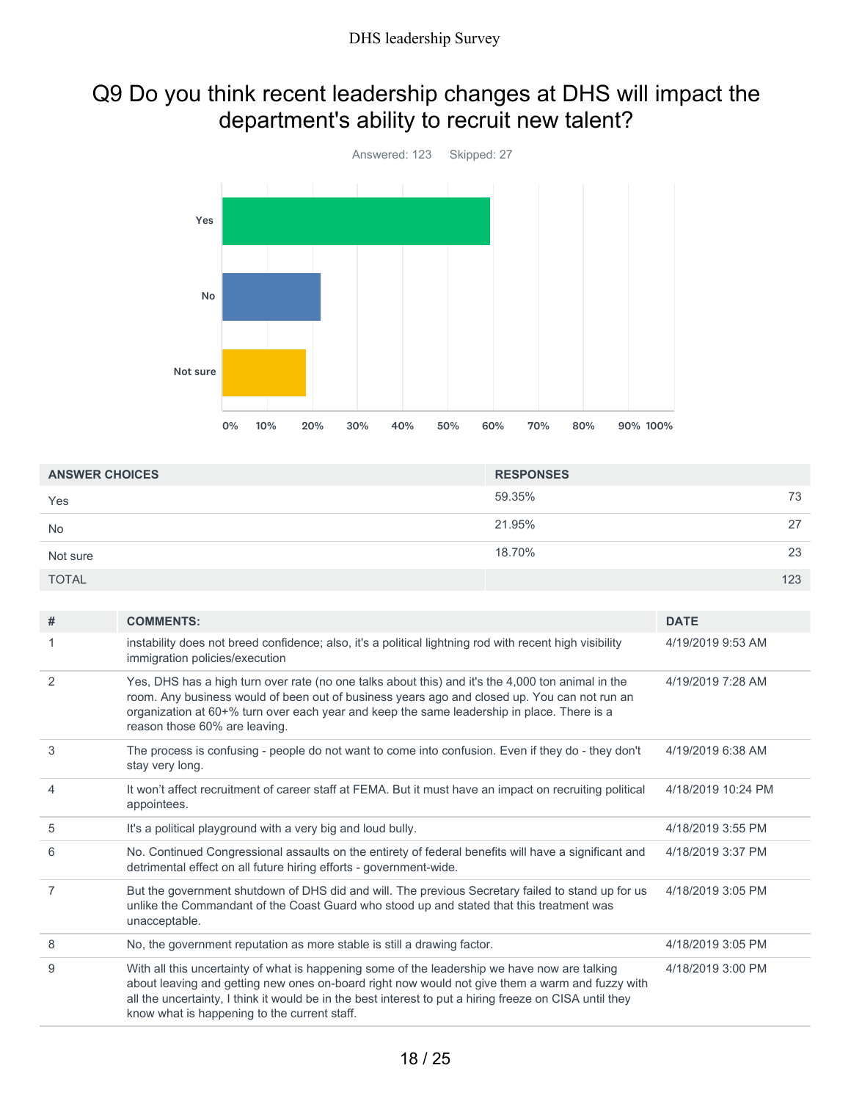### Q9 Do you think recent leadership changes at DHS will impact the department's ability to recruit new talent?



| <b>ANSWER CHOICES</b> | <b>RESPONSES</b> |     |
|-----------------------|------------------|-----|
| Yes                   | 59.35%           | 73  |
| <b>No</b>             | 21.95%           | 27  |
| Not sure              | 18.70%           | 23  |
| <b>TOTAL</b>          |                  | 123 |

| # | <b>COMMENTS:</b>                                                                                                                                                                                                                                                                                                                                            | <b>DATE</b>        |
|---|-------------------------------------------------------------------------------------------------------------------------------------------------------------------------------------------------------------------------------------------------------------------------------------------------------------------------------------------------------------|--------------------|
|   | instability does not breed confidence; also, it's a political lightning rod with recent high visibility<br>immigration policies/execution                                                                                                                                                                                                                   | 4/19/2019 9:53 AM  |
| 2 | Yes, DHS has a high turn over rate (no one talks about this) and it's the 4,000 ton animal in the<br>room. Any business would of been out of business years ago and closed up. You can not run an<br>organization at 60+% turn over each year and keep the same leadership in place. There is a<br>reason those 60% are leaving.                            | 4/19/2019 7:28 AM  |
| 3 | The process is confusing - people do not want to come into confusion. Even if they do - they don't<br>stay very long.                                                                                                                                                                                                                                       | 4/19/2019 6:38 AM  |
| 4 | It won't affect recruitment of career staff at FEMA. But it must have an impact on recruiting political<br>appointees.                                                                                                                                                                                                                                      | 4/18/2019 10:24 PM |
| 5 | It's a political playground with a very big and loud bully.                                                                                                                                                                                                                                                                                                 | 4/18/2019 3:55 PM  |
| 6 | No. Continued Congressional assaults on the entirety of federal benefits will have a significant and<br>detrimental effect on all future hiring efforts - government-wide.                                                                                                                                                                                  | 4/18/2019 3:37 PM  |
| 7 | But the government shutdown of DHS did and will. The previous Secretary failed to stand up for us<br>unlike the Commandant of the Coast Guard who stood up and stated that this treatment was<br>unacceptable.                                                                                                                                              | 4/18/2019 3:05 PM  |
| 8 | No, the government reputation as more stable is still a drawing factor.                                                                                                                                                                                                                                                                                     | 4/18/2019 3:05 PM  |
| 9 | With all this uncertainty of what is happening some of the leadership we have now are talking<br>about leaving and getting new ones on-board right now would not give them a warm and fuzzy with<br>all the uncertainty, I think it would be in the best interest to put a hiring freeze on CISA until they<br>know what is happening to the current staff. | 4/18/2019 3:00 PM  |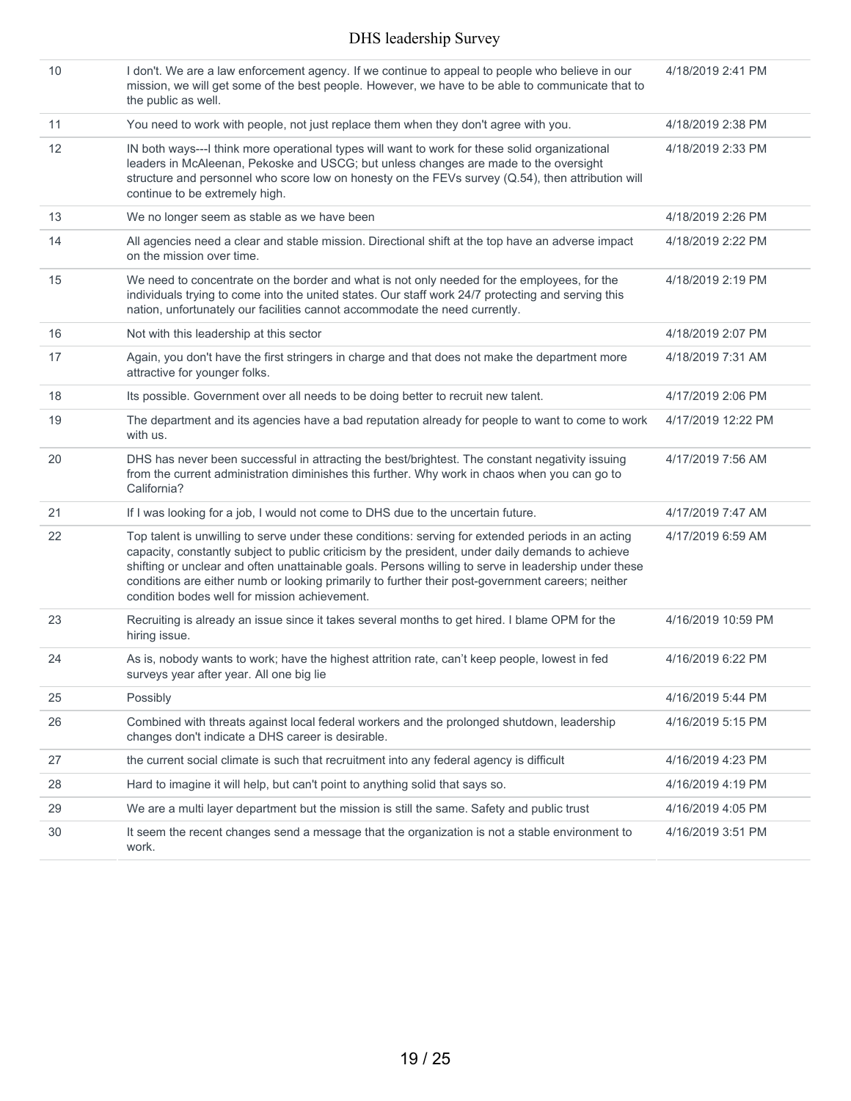| 10 | I don't. We are a law enforcement agency. If we continue to appeal to people who believe in our<br>mission, we will get some of the best people. However, we have to be able to communicate that to<br>the public as well.                                                                                                                                                                                                                                            | 4/18/2019 2:41 PM  |
|----|-----------------------------------------------------------------------------------------------------------------------------------------------------------------------------------------------------------------------------------------------------------------------------------------------------------------------------------------------------------------------------------------------------------------------------------------------------------------------|--------------------|
| 11 | You need to work with people, not just replace them when they don't agree with you.                                                                                                                                                                                                                                                                                                                                                                                   | 4/18/2019 2:38 PM  |
| 12 | IN both ways---I think more operational types will want to work for these solid organizational<br>leaders in McAleenan, Pekoske and USCG; but unless changes are made to the oversight<br>structure and personnel who score low on honesty on the FEVs survey (Q.54), then attribution will<br>continue to be extremely high.                                                                                                                                         | 4/18/2019 2:33 PM  |
| 13 | We no longer seem as stable as we have been                                                                                                                                                                                                                                                                                                                                                                                                                           | 4/18/2019 2:26 PM  |
| 14 | All agencies need a clear and stable mission. Directional shift at the top have an adverse impact<br>on the mission over time.                                                                                                                                                                                                                                                                                                                                        | 4/18/2019 2:22 PM  |
| 15 | We need to concentrate on the border and what is not only needed for the employees, for the<br>individuals trying to come into the united states. Our staff work 24/7 protecting and serving this<br>nation, unfortunately our facilities cannot accommodate the need currently.                                                                                                                                                                                      | 4/18/2019 2:19 PM  |
| 16 | Not with this leadership at this sector                                                                                                                                                                                                                                                                                                                                                                                                                               | 4/18/2019 2:07 PM  |
| 17 | Again, you don't have the first stringers in charge and that does not make the department more<br>attractive for younger folks.                                                                                                                                                                                                                                                                                                                                       | 4/18/2019 7:31 AM  |
| 18 | Its possible. Government over all needs to be doing better to recruit new talent.                                                                                                                                                                                                                                                                                                                                                                                     | 4/17/2019 2:06 PM  |
| 19 | The department and its agencies have a bad reputation already for people to want to come to work<br>with us.                                                                                                                                                                                                                                                                                                                                                          | 4/17/2019 12:22 PM |
| 20 | DHS has never been successful in attracting the best/brightest. The constant negativity issuing<br>from the current administration diminishes this further. Why work in chaos when you can go to<br>California?                                                                                                                                                                                                                                                       | 4/17/2019 7:56 AM  |
| 21 | If I was looking for a job, I would not come to DHS due to the uncertain future.                                                                                                                                                                                                                                                                                                                                                                                      | 4/17/2019 7:47 AM  |
| 22 | Top talent is unwilling to serve under these conditions: serving for extended periods in an acting<br>capacity, constantly subject to public criticism by the president, under daily demands to achieve<br>shifting or unclear and often unattainable goals. Persons willing to serve in leadership under these<br>conditions are either numb or looking primarily to further their post-government careers; neither<br>condition bodes well for mission achievement. | 4/17/2019 6:59 AM  |
| 23 | Recruiting is already an issue since it takes several months to get hired. I blame OPM for the<br>hiring issue.                                                                                                                                                                                                                                                                                                                                                       | 4/16/2019 10:59 PM |
| 24 | As is, nobody wants to work; have the highest attrition rate, can't keep people, lowest in fed<br>surveys year after year. All one big lie                                                                                                                                                                                                                                                                                                                            | 4/16/2019 6:22 PM  |
| 25 | Possibly                                                                                                                                                                                                                                                                                                                                                                                                                                                              | 4/16/2019 5:44 PM  |
| 26 | Combined with threats against local federal workers and the prolonged shutdown, leadership<br>changes don't indicate a DHS career is desirable.                                                                                                                                                                                                                                                                                                                       | 4/16/2019 5:15 PM  |
| 27 | the current social climate is such that recruitment into any federal agency is difficult                                                                                                                                                                                                                                                                                                                                                                              | 4/16/2019 4:23 PM  |
| 28 | Hard to imagine it will help, but can't point to anything solid that says so.                                                                                                                                                                                                                                                                                                                                                                                         | 4/16/2019 4:19 PM  |
| 29 | We are a multi layer department but the mission is still the same. Safety and public trust                                                                                                                                                                                                                                                                                                                                                                            | 4/16/2019 4:05 PM  |
| 30 | It seem the recent changes send a message that the organization is not a stable environment to<br>work.                                                                                                                                                                                                                                                                                                                                                               | 4/16/2019 3:51 PM  |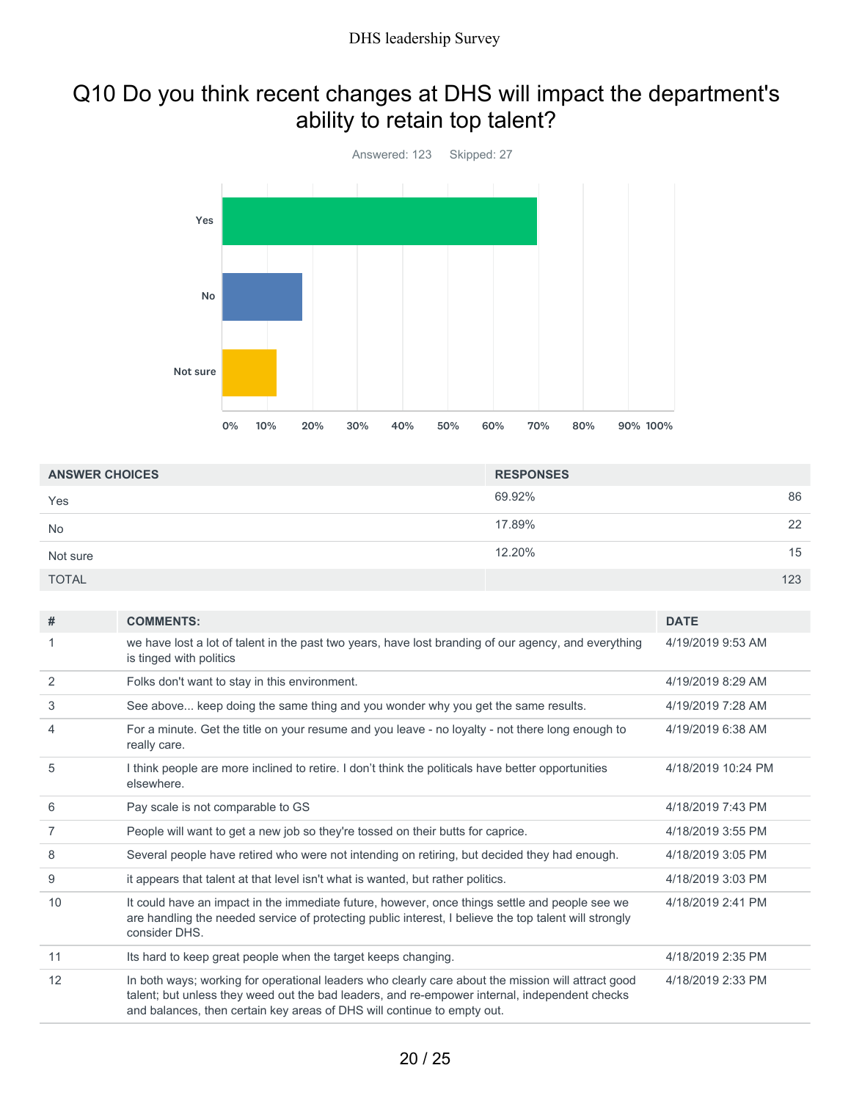### Q10 Do you think recent changes at DHS will impact the department's ability to retain top talent?



| <b>ANSWER CHOICES</b> | <b>RESPONSES</b> |     |
|-----------------------|------------------|-----|
| Yes                   | 69.92%           | 86  |
| <b>No</b>             | 17.89%           | 22  |
| Not sure              | 12.20%           | 15  |
| <b>TOTAL</b>          |                  | 123 |

| #  | <b>COMMENTS:</b>                                                                                                                                                                                                                                                               | <b>DATE</b>        |
|----|--------------------------------------------------------------------------------------------------------------------------------------------------------------------------------------------------------------------------------------------------------------------------------|--------------------|
|    | we have lost a lot of talent in the past two years, have lost branding of our agency, and everything<br>is tinged with politics                                                                                                                                                | 4/19/2019 9:53 AM  |
| 2  | Folks don't want to stay in this environment.                                                                                                                                                                                                                                  | 4/19/2019 8:29 AM  |
| 3  | See above keep doing the same thing and you wonder why you get the same results.                                                                                                                                                                                               | 4/19/2019 7:28 AM  |
| 4  | For a minute. Get the title on your resume and you leave - no loyalty - not there long enough to<br>really care.                                                                                                                                                               | 4/19/2019 6:38 AM  |
| 5  | I think people are more inclined to retire. I don't think the politicals have better opportunities<br>elsewhere.                                                                                                                                                               | 4/18/2019 10:24 PM |
| 6  | Pay scale is not comparable to GS                                                                                                                                                                                                                                              | 4/18/2019 7:43 PM  |
| 7  | People will want to get a new job so they're tossed on their butts for caprice.                                                                                                                                                                                                | 4/18/2019 3:55 PM  |
| 8  | Several people have retired who were not intending on retiring, but decided they had enough.                                                                                                                                                                                   | 4/18/2019 3:05 PM  |
| 9  | it appears that talent at that level isn't what is wanted, but rather politics.                                                                                                                                                                                                | 4/18/2019 3:03 PM  |
| 10 | It could have an impact in the immediate future, however, once things settle and people see we<br>are handling the needed service of protecting public interest, I believe the top talent will strongly<br>consider DHS.                                                       | 4/18/2019 2:41 PM  |
| 11 | Its hard to keep great people when the target keeps changing.                                                                                                                                                                                                                  | 4/18/2019 2:35 PM  |
| 12 | In both ways; working for operational leaders who clearly care about the mission will attract good<br>talent; but unless they weed out the bad leaders, and re-empower internal, independent checks<br>and balances, then certain key areas of DHS will continue to empty out. | 4/18/2019 2:33 PM  |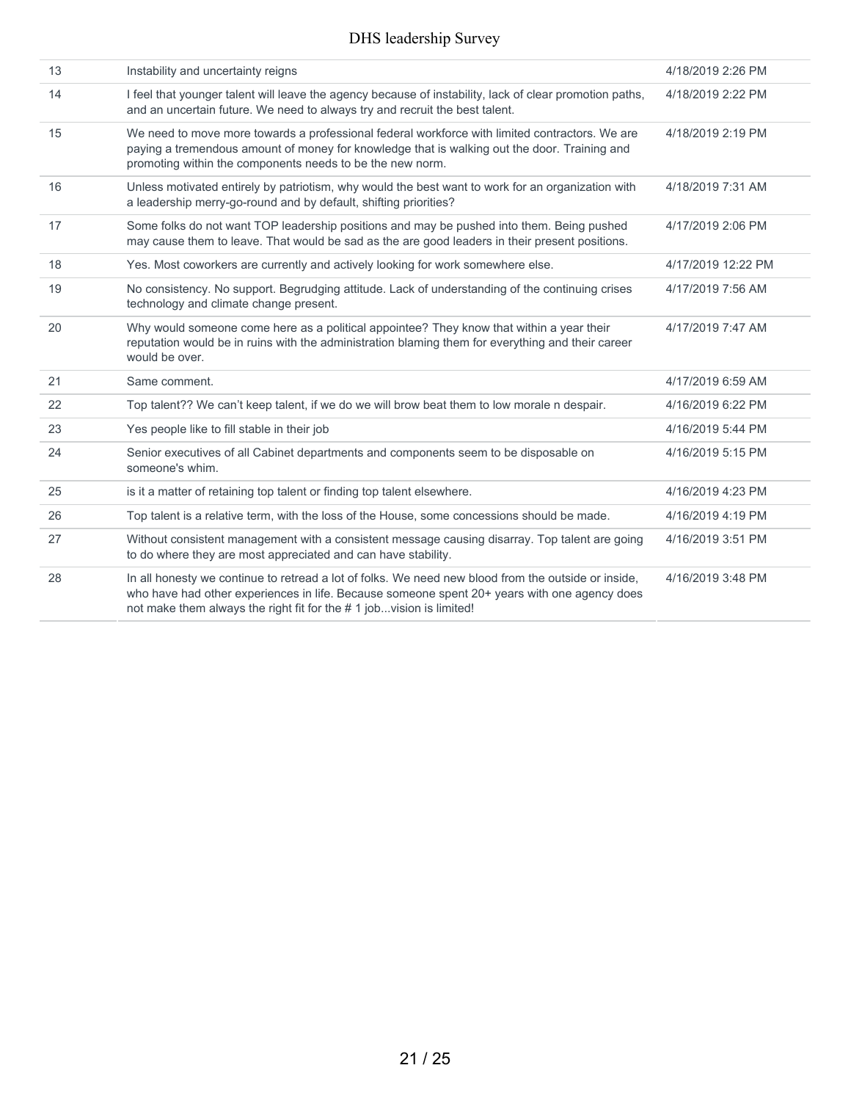| 13 | Instability and uncertainty reigns                                                                                                                                                                                                                                         | 4/18/2019 2:26 PM  |
|----|----------------------------------------------------------------------------------------------------------------------------------------------------------------------------------------------------------------------------------------------------------------------------|--------------------|
| 14 | I feel that younger talent will leave the agency because of instability, lack of clear promotion paths,<br>and an uncertain future. We need to always try and recruit the best talent.                                                                                     | 4/18/2019 2:22 PM  |
| 15 | We need to move more towards a professional federal workforce with limited contractors. We are<br>paying a tremendous amount of money for knowledge that is walking out the door. Training and<br>promoting within the components needs to be the new norm.                | 4/18/2019 2:19 PM  |
| 16 | Unless motivated entirely by patriotism, why would the best want to work for an organization with<br>a leadership merry-go-round and by default, shifting priorities?                                                                                                      | 4/18/2019 7:31 AM  |
| 17 | Some folks do not want TOP leadership positions and may be pushed into them. Being pushed<br>may cause them to leave. That would be sad as the are good leaders in their present positions.                                                                                | 4/17/2019 2:06 PM  |
| 18 | Yes. Most coworkers are currently and actively looking for work somewhere else.                                                                                                                                                                                            | 4/17/2019 12:22 PM |
| 19 | No consistency. No support. Begrudging attitude. Lack of understanding of the continuing crises<br>technology and climate change present.                                                                                                                                  | 4/17/2019 7:56 AM  |
| 20 | Why would someone come here as a political appointee? They know that within a year their<br>reputation would be in ruins with the administration blaming them for everything and their career<br>would be over.                                                            | 4/17/2019 7:47 AM  |
| 21 | Same comment.                                                                                                                                                                                                                                                              | 4/17/2019 6:59 AM  |
| 22 | Top talent?? We can't keep talent, if we do we will brow beat them to low morale n despair.                                                                                                                                                                                | 4/16/2019 6:22 PM  |
| 23 | Yes people like to fill stable in their job                                                                                                                                                                                                                                | 4/16/2019 5:44 PM  |
| 24 | Senior executives of all Cabinet departments and components seem to be disposable on<br>someone's whim.                                                                                                                                                                    | 4/16/2019 5:15 PM  |
| 25 | is it a matter of retaining top talent or finding top talent elsewhere.                                                                                                                                                                                                    | 4/16/2019 4:23 PM  |
| 26 | Top talent is a relative term, with the loss of the House, some concessions should be made.                                                                                                                                                                                | 4/16/2019 4:19 PM  |
| 27 | Without consistent management with a consistent message causing disarray. Top talent are going<br>to do where they are most appreciated and can have stability.                                                                                                            | 4/16/2019 3:51 PM  |
| 28 | In all honesty we continue to retread a lot of folks. We need new blood from the outside or inside,<br>who have had other experiences in life. Because someone spent 20+ years with one agency does<br>not make them always the right fit for the #1 jobvision is limited! | 4/16/2019 3:48 PM  |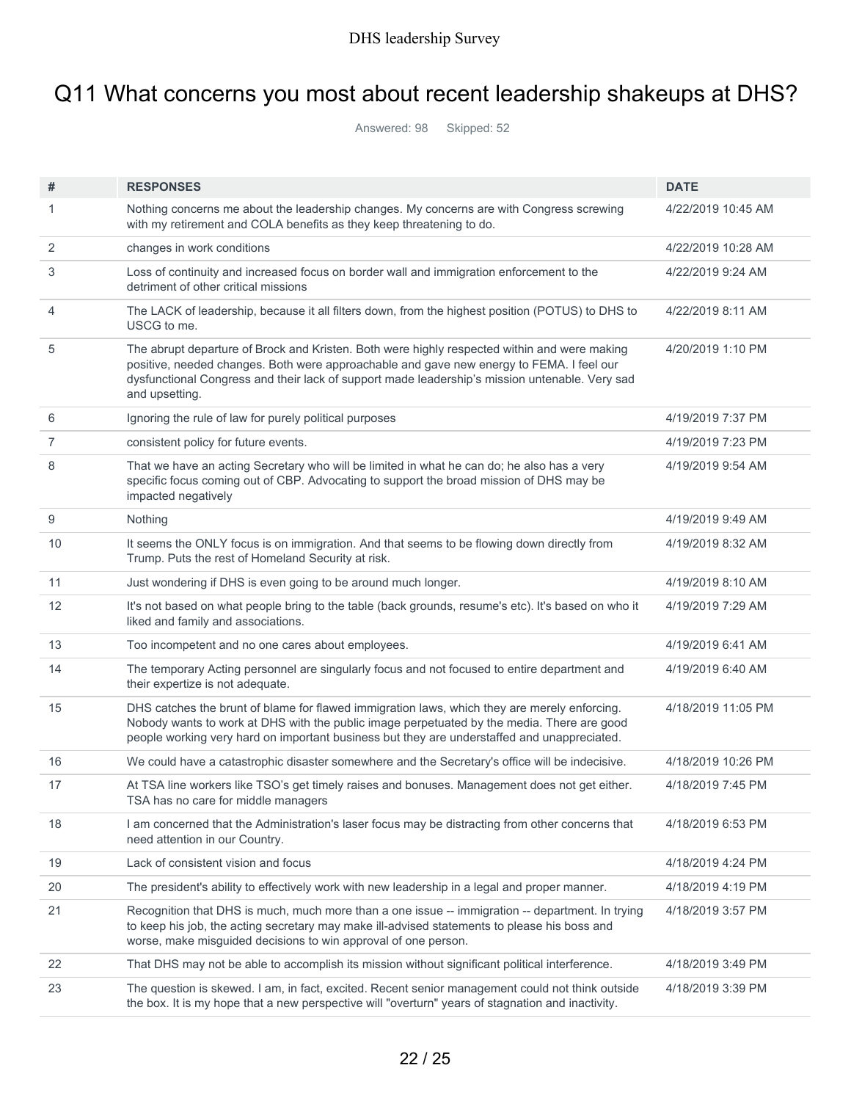# Q11 What concerns you most about recent leadership shakeups at DHS?

Answered: 98 Skipped: 52

| #              | <b>RESPONSES</b>                                                                                                                                                                                                                                                                                             | <b>DATE</b>        |
|----------------|--------------------------------------------------------------------------------------------------------------------------------------------------------------------------------------------------------------------------------------------------------------------------------------------------------------|--------------------|
| 1              | Nothing concerns me about the leadership changes. My concerns are with Congress screwing<br>with my retirement and COLA benefits as they keep threatening to do.                                                                                                                                             | 4/22/2019 10:45 AM |
| $\overline{2}$ | changes in work conditions                                                                                                                                                                                                                                                                                   | 4/22/2019 10:28 AM |
| 3              | Loss of continuity and increased focus on border wall and immigration enforcement to the<br>detriment of other critical missions                                                                                                                                                                             | 4/22/2019 9:24 AM  |
| 4              | The LACK of leadership, because it all filters down, from the highest position (POTUS) to DHS to<br>USCG to me.                                                                                                                                                                                              | 4/22/2019 8:11 AM  |
| 5              | The abrupt departure of Brock and Kristen. Both were highly respected within and were making<br>positive, needed changes. Both were approachable and gave new energy to FEMA. I feel our<br>dysfunctional Congress and their lack of support made leadership's mission untenable. Very sad<br>and upsetting. | 4/20/2019 1:10 PM  |
| 6              | Ignoring the rule of law for purely political purposes                                                                                                                                                                                                                                                       | 4/19/2019 7:37 PM  |
| $\overline{7}$ | consistent policy for future events.                                                                                                                                                                                                                                                                         | 4/19/2019 7:23 PM  |
| 8              | That we have an acting Secretary who will be limited in what he can do; he also has a very<br>specific focus coming out of CBP. Advocating to support the broad mission of DHS may be<br>impacted negatively                                                                                                 | 4/19/2019 9:54 AM  |
| 9              | Nothing                                                                                                                                                                                                                                                                                                      | 4/19/2019 9:49 AM  |
| 10             | It seems the ONLY focus is on immigration. And that seems to be flowing down directly from<br>Trump. Puts the rest of Homeland Security at risk.                                                                                                                                                             | 4/19/2019 8:32 AM  |
| 11             | Just wondering if DHS is even going to be around much longer.                                                                                                                                                                                                                                                | 4/19/2019 8:10 AM  |
| 12             | It's not based on what people bring to the table (back grounds, resume's etc). It's based on who it<br>liked and family and associations.                                                                                                                                                                    | 4/19/2019 7:29 AM  |
| 13             | Too incompetent and no one cares about employees.                                                                                                                                                                                                                                                            | 4/19/2019 6:41 AM  |
| 14             | The temporary Acting personnel are singularly focus and not focused to entire department and<br>their expertize is not adequate.                                                                                                                                                                             | 4/19/2019 6:40 AM  |
| 15             | DHS catches the brunt of blame for flawed immigration laws, which they are merely enforcing.<br>Nobody wants to work at DHS with the public image perpetuated by the media. There are good<br>people working very hard on important business but they are understaffed and unappreciated.                    | 4/18/2019 11:05 PM |
| 16             | We could have a catastrophic disaster somewhere and the Secretary's office will be indecisive.                                                                                                                                                                                                               | 4/18/2019 10:26 PM |
| 17             | At TSA line workers like TSO's get timely raises and bonuses. Management does not get either.<br>ISA has no care for middle managers                                                                                                                                                                         | 4/18/2019 7:45 PM  |
| 18             | I am concerned that the Administration's laser focus may be distracting from other concerns that<br>need attention in our Country.                                                                                                                                                                           | 4/18/2019 6:53 PM  |
| 19             | Lack of consistent vision and focus                                                                                                                                                                                                                                                                          | 4/18/2019 4:24 PM  |
| 20             | The president's ability to effectively work with new leadership in a legal and proper manner.                                                                                                                                                                                                                | 4/18/2019 4:19 PM  |
| 21             | Recognition that DHS is much, much more than a one issue -- immigration -- department. In trying<br>to keep his job, the acting secretary may make ill-advised statements to please his boss and<br>worse, make misguided decisions to win approval of one person.                                           | 4/18/2019 3:57 PM  |
| 22             | That DHS may not be able to accomplish its mission without significant political interference.                                                                                                                                                                                                               | 4/18/2019 3:49 PM  |
| 23             | The question is skewed. I am, in fact, excited. Recent senior management could not think outside<br>the box. It is my hope that a new perspective will "overturn" years of stagnation and inactivity.                                                                                                        | 4/18/2019 3:39 PM  |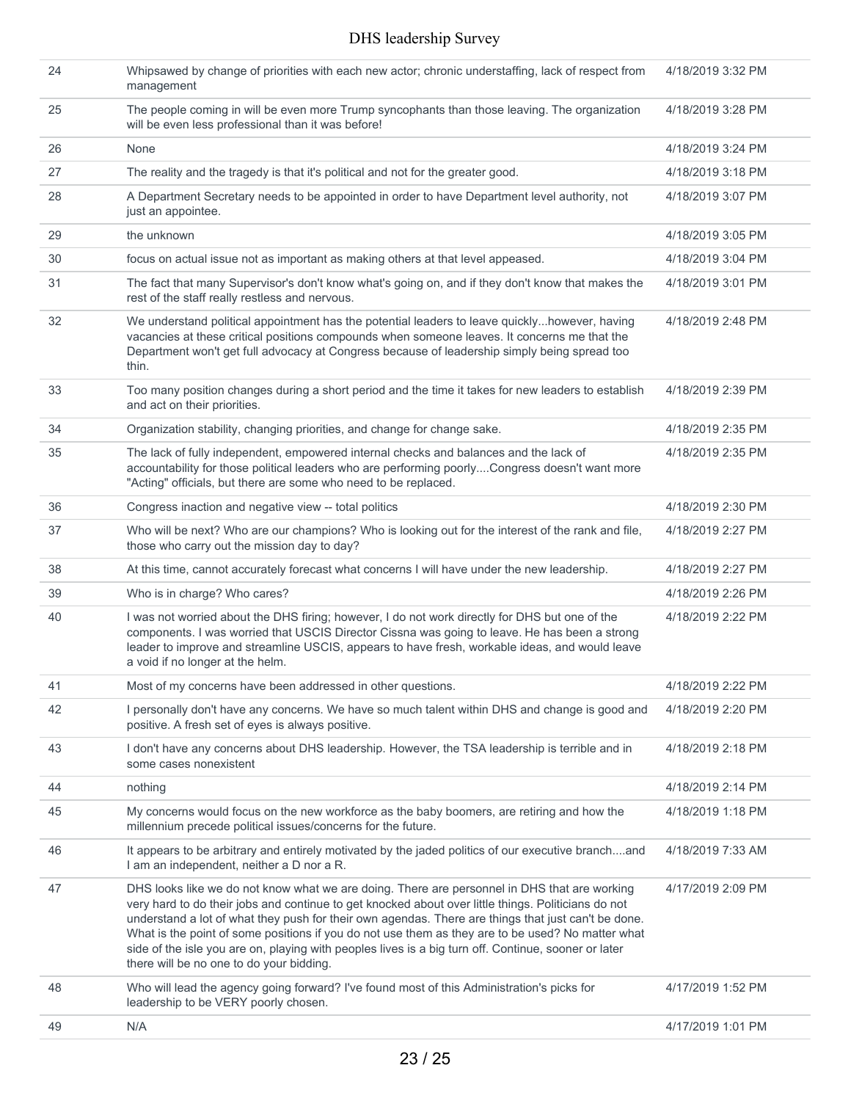| 24 | Whipsawed by change of priorities with each new actor; chronic understaffing, lack of respect from<br>management                                                                                                                                                                                                                                                                                                                                                                                                                                                    | 4/18/2019 3:32 PM |
|----|---------------------------------------------------------------------------------------------------------------------------------------------------------------------------------------------------------------------------------------------------------------------------------------------------------------------------------------------------------------------------------------------------------------------------------------------------------------------------------------------------------------------------------------------------------------------|-------------------|
| 25 | The people coming in will be even more Trump syncophants than those leaving. The organization<br>will be even less professional than it was before!                                                                                                                                                                                                                                                                                                                                                                                                                 | 4/18/2019 3:28 PM |
| 26 | None                                                                                                                                                                                                                                                                                                                                                                                                                                                                                                                                                                | 4/18/2019 3:24 PM |
| 27 | The reality and the tragedy is that it's political and not for the greater good.                                                                                                                                                                                                                                                                                                                                                                                                                                                                                    | 4/18/2019 3:18 PM |
| 28 | A Department Secretary needs to be appointed in order to have Department level authority, not<br>just an appointee.                                                                                                                                                                                                                                                                                                                                                                                                                                                 | 4/18/2019 3:07 PM |
| 29 | the unknown                                                                                                                                                                                                                                                                                                                                                                                                                                                                                                                                                         | 4/18/2019 3:05 PM |
| 30 | focus on actual issue not as important as making others at that level appeased.                                                                                                                                                                                                                                                                                                                                                                                                                                                                                     | 4/18/2019 3:04 PM |
| 31 | The fact that many Supervisor's don't know what's going on, and if they don't know that makes the<br>rest of the staff really restless and nervous.                                                                                                                                                                                                                                                                                                                                                                                                                 | 4/18/2019 3:01 PM |
| 32 | We understand political appointment has the potential leaders to leave quicklyhowever, having<br>vacancies at these critical positions compounds when someone leaves. It concerns me that the<br>Department won't get full advocacy at Congress because of leadership simply being spread too<br>thin.                                                                                                                                                                                                                                                              | 4/18/2019 2:48 PM |
| 33 | Too many position changes during a short period and the time it takes for new leaders to establish<br>and act on their priorities.                                                                                                                                                                                                                                                                                                                                                                                                                                  | 4/18/2019 2:39 PM |
| 34 | Organization stability, changing priorities, and change for change sake.                                                                                                                                                                                                                                                                                                                                                                                                                                                                                            | 4/18/2019 2:35 PM |
| 35 | The lack of fully independent, empowered internal checks and balances and the lack of<br>accountability for those political leaders who are performing poorlyCongress doesn't want more<br>"Acting" officials, but there are some who need to be replaced.                                                                                                                                                                                                                                                                                                          | 4/18/2019 2:35 PM |
| 36 | Congress inaction and negative view -- total politics                                                                                                                                                                                                                                                                                                                                                                                                                                                                                                               | 4/18/2019 2:30 PM |
| 37 | Who will be next? Who are our champions? Who is looking out for the interest of the rank and file,<br>those who carry out the mission day to day?                                                                                                                                                                                                                                                                                                                                                                                                                   | 4/18/2019 2:27 PM |
| 38 | At this time, cannot accurately forecast what concerns I will have under the new leadership.                                                                                                                                                                                                                                                                                                                                                                                                                                                                        | 4/18/2019 2:27 PM |
| 39 | Who is in charge? Who cares?                                                                                                                                                                                                                                                                                                                                                                                                                                                                                                                                        | 4/18/2019 2:26 PM |
| 40 | I was not worried about the DHS firing; however, I do not work directly for DHS but one of the<br>components. I was worried that USCIS Director Cissna was going to leave. He has been a strong<br>leader to improve and streamline USCIS, appears to have fresh, workable ideas, and would leave<br>a void if no longer at the helm.                                                                                                                                                                                                                               | 4/18/2019 2:22 PM |
| 41 | Most of my concerns have been addressed in other questions.                                                                                                                                                                                                                                                                                                                                                                                                                                                                                                         | 4/18/2019 2:22 PM |
| 42 | I personally don't have any concerns. We have so much talent within DHS and change is good and<br>positive. A fresh set of eyes is always positive.                                                                                                                                                                                                                                                                                                                                                                                                                 | 4/18/2019 2:20 PM |
| 43 | I don't have any concerns about DHS leadership. However, the TSA leadership is terrible and in<br>some cases nonexistent                                                                                                                                                                                                                                                                                                                                                                                                                                            | 4/18/2019 2:18 PM |
| 44 | nothing                                                                                                                                                                                                                                                                                                                                                                                                                                                                                                                                                             | 4/18/2019 2:14 PM |
| 45 | My concerns would focus on the new workforce as the baby boomers, are retiring and how the<br>millennium precede political issues/concerns for the future.                                                                                                                                                                                                                                                                                                                                                                                                          | 4/18/2019 1:18 PM |
| 46 | It appears to be arbitrary and entirely motivated by the jaded politics of our executive branchand<br>I am an independent, neither a D nor a R.                                                                                                                                                                                                                                                                                                                                                                                                                     | 4/18/2019 7:33 AM |
| 47 | DHS looks like we do not know what we are doing. There are personnel in DHS that are working<br>very hard to do their jobs and continue to get knocked about over little things. Politicians do not<br>understand a lot of what they push for their own agendas. There are things that just can't be done.<br>What is the point of some positions if you do not use them as they are to be used? No matter what<br>side of the isle you are on, playing with peoples lives is a big turn off. Continue, sooner or later<br>there will be no one to do your bidding. | 4/17/2019 2:09 PM |
| 48 | Who will lead the agency going forward? I've found most of this Administration's picks for<br>leadership to be VERY poorly chosen.                                                                                                                                                                                                                                                                                                                                                                                                                                  | 4/17/2019 1:52 PM |
| 49 | N/A                                                                                                                                                                                                                                                                                                                                                                                                                                                                                                                                                                 | 4/17/2019 1:01 PM |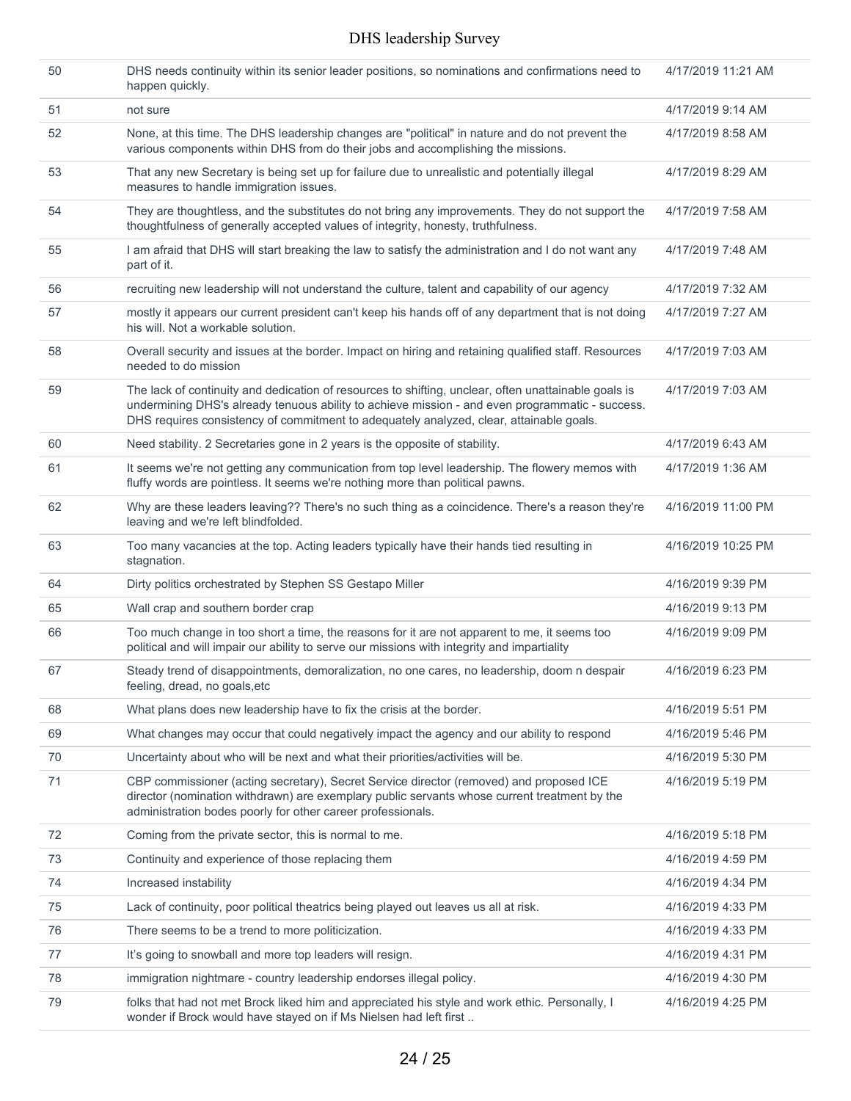| 50 | DHS needs continuity within its senior leader positions, so nominations and confirmations need to<br>happen quickly.                                                                                                                                                                               | 4/17/2019 11:21 AM |
|----|----------------------------------------------------------------------------------------------------------------------------------------------------------------------------------------------------------------------------------------------------------------------------------------------------|--------------------|
| 51 | not sure                                                                                                                                                                                                                                                                                           | 4/17/2019 9:14 AM  |
| 52 | None, at this time. The DHS leadership changes are "political" in nature and do not prevent the<br>various components within DHS from do their jobs and accomplishing the missions.                                                                                                                | 4/17/2019 8:58 AM  |
| 53 | That any new Secretary is being set up for failure due to unrealistic and potentially illegal<br>measures to handle immigration issues.                                                                                                                                                            | 4/17/2019 8:29 AM  |
| 54 | They are thoughtless, and the substitutes do not bring any improvements. They do not support the<br>thoughtfulness of generally accepted values of integrity, honesty, truthfulness.                                                                                                               | 4/17/2019 7:58 AM  |
| 55 | I am afraid that DHS will start breaking the law to satisfy the administration and I do not want any<br>part of it.                                                                                                                                                                                | 4/17/2019 7:48 AM  |
| 56 | recruiting new leadership will not understand the culture, talent and capability of our agency                                                                                                                                                                                                     | 4/17/2019 7:32 AM  |
| 57 | mostly it appears our current president can't keep his hands off of any department that is not doing<br>his will. Not a workable solution.                                                                                                                                                         | 4/17/2019 7:27 AM  |
| 58 | Overall security and issues at the border. Impact on hiring and retaining qualified staff. Resources<br>needed to do mission                                                                                                                                                                       | 4/17/2019 7:03 AM  |
| 59 | The lack of continuity and dedication of resources to shifting, unclear, often unattainable goals is<br>undermining DHS's already tenuous ability to achieve mission - and even programmatic - success.<br>DHS requires consistency of commitment to adequately analyzed, clear, attainable goals. | 4/17/2019 7:03 AM  |
| 60 | Need stability. 2 Secretaries gone in 2 years is the opposite of stability.                                                                                                                                                                                                                        | 4/17/2019 6:43 AM  |
| 61 | It seems we're not getting any communication from top level leadership. The flowery memos with<br>fluffy words are pointless. It seems we're nothing more than political pawns.                                                                                                                    | 4/17/2019 1:36 AM  |
| 62 | Why are these leaders leaving?? There's no such thing as a coincidence. There's a reason they're<br>leaving and we're left blindfolded.                                                                                                                                                            | 4/16/2019 11:00 PM |
| 63 | Too many vacancies at the top. Acting leaders typically have their hands tied resulting in<br>stagnation.                                                                                                                                                                                          | 4/16/2019 10:25 PM |
| 64 | Dirty politics orchestrated by Stephen SS Gestapo Miller                                                                                                                                                                                                                                           | 4/16/2019 9:39 PM  |
| 65 | Wall crap and southern border crap                                                                                                                                                                                                                                                                 | 4/16/2019 9:13 PM  |
| 66 | Too much change in too short a time, the reasons for it are not apparent to me, it seems too<br>political and will impair our ability to serve our missions with integrity and impartiality                                                                                                        | 4/16/2019 9:09 PM  |
| 67 | Steady trend of disappointments, demoralization, no one cares, no leadership, doom n despair<br>feeling, dread, no goals, etc                                                                                                                                                                      | 4/16/2019 6:23 PM  |
| 68 | What plans does new leadership have to fix the crisis at the border.                                                                                                                                                                                                                               | 4/16/2019 5:51 PM  |
| 69 | What changes may occur that could negatively impact the agency and our ability to respond                                                                                                                                                                                                          | 4/16/2019 5:46 PM  |
| 70 | Uncertainty about who will be next and what their priorities/activities will be.                                                                                                                                                                                                                   | 4/16/2019 5:30 PM  |
| 71 | CBP commissioner (acting secretary), Secret Service director (removed) and proposed ICE<br>director (nomination withdrawn) are exemplary public servants whose current treatment by the<br>administration bodes poorly for other career professionals.                                             | 4/16/2019 5:19 PM  |
| 72 | Coming from the private sector, this is normal to me.                                                                                                                                                                                                                                              | 4/16/2019 5:18 PM  |
| 73 | Continuity and experience of those replacing them                                                                                                                                                                                                                                                  | 4/16/2019 4:59 PM  |
| 74 | Increased instability                                                                                                                                                                                                                                                                              | 4/16/2019 4:34 PM  |
| 75 | Lack of continuity, poor political theatrics being played out leaves us all at risk.                                                                                                                                                                                                               | 4/16/2019 4:33 PM  |
| 76 | There seems to be a trend to more politicization.                                                                                                                                                                                                                                                  | 4/16/2019 4:33 PM  |
| 77 | It's going to snowball and more top leaders will resign.                                                                                                                                                                                                                                           | 4/16/2019 4:31 PM  |
| 78 | immigration nightmare - country leadership endorses illegal policy.                                                                                                                                                                                                                                | 4/16/2019 4:30 PM  |
| 79 | folks that had not met Brock liked him and appreciated his style and work ethic. Personally, I<br>wonder if Brock would have stayed on if Ms Nielsen had left first                                                                                                                                | 4/16/2019 4:25 PM  |